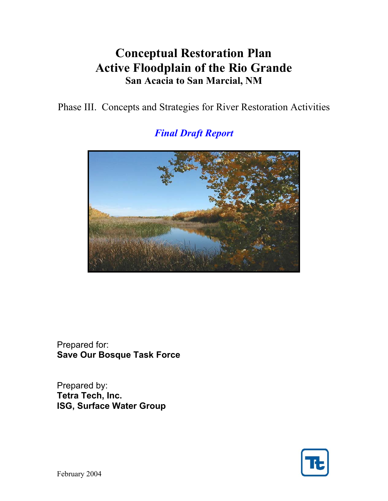# **Conceptual Restoration Plan Active Floodplain of the Rio Grande San Acacia to San Marcial, NM**

Phase III. Concepts and Strategies for River Restoration Activities

*Final Draft Report* 

Prepared for: **Save Our Bosque Task Force** 

Prepared by: **Tetra Tech, Inc. ISG, Surface Water Group** 



February 2004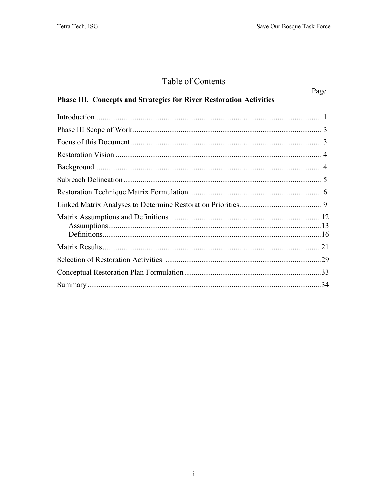## Table of Contents

|                                                                            | Page |
|----------------------------------------------------------------------------|------|
| <b>Phase III. Concepts and Strategies for River Restoration Activities</b> |      |
|                                                                            |      |
|                                                                            |      |
|                                                                            |      |
|                                                                            |      |
|                                                                            |      |
|                                                                            |      |
|                                                                            |      |
|                                                                            |      |
|                                                                            |      |
|                                                                            |      |
|                                                                            |      |
|                                                                            |      |
|                                                                            |      |
|                                                                            |      |
|                                                                            |      |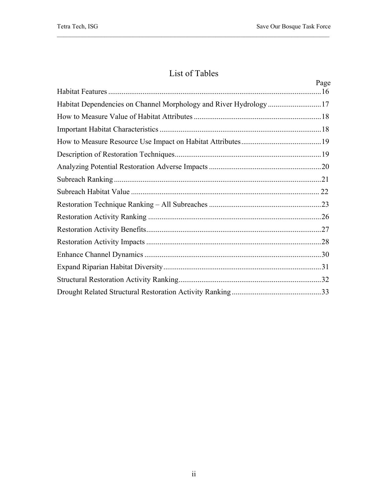## List of Tables

|                                                                   | Page |
|-------------------------------------------------------------------|------|
| Habitat Dependencies on Channel Morphology and River Hydrology 17 |      |
|                                                                   |      |
|                                                                   |      |
|                                                                   |      |
|                                                                   |      |
|                                                                   |      |
|                                                                   |      |
|                                                                   |      |
|                                                                   |      |
|                                                                   |      |
|                                                                   |      |
|                                                                   |      |
|                                                                   |      |
|                                                                   |      |
|                                                                   |      |
|                                                                   |      |
|                                                                   |      |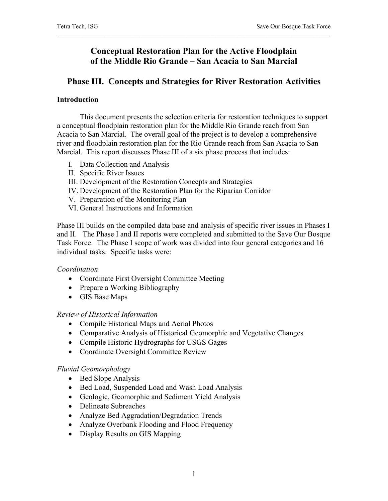## **Conceptual Restoration Plan for the Active Floodplain of the Middle Rio Grande – San Acacia to San Marcial**

## **Phase III. Concepts and Strategies for River Restoration Activities**

#### **Introduction**

 This document presents the selection criteria for restoration techniques to support a conceptual floodplain restoration plan for the Middle Rio Grande reach from San Acacia to San Marcial. The overall goal of the project is to develop a comprehensive river and floodplain restoration plan for the Rio Grande reach from San Acacia to San Marcial. This report discusses Phase III of a six phase process that includes:

- I. Data Collection and Analysis
- II. Specific River Issues
- III. Development of the Restoration Concepts and Strategies
- IV. Development of the Restoration Plan for the Riparian Corridor
- V. Preparation of the Monitoring Plan
- VI. General Instructions and Information

Phase III builds on the compiled data base and analysis of specific river issues in Phases I and II. The Phase I and II reports were completed and submitted to the Save Our Bosque Task Force. The Phase I scope of work was divided into four general categories and 16 individual tasks. Specific tasks were:

### *Coordination*

- Coordinate First Oversight Committee Meeting
- Prepare a Working Bibliography
- GIS Base Maps

#### *Review of Historical Information*

- Compile Historical Maps and Aerial Photos
- Comparative Analysis of Historical Geomorphic and Vegetative Changes
- Compile Historic Hydrographs for USGS Gages
- Coordinate Oversight Committee Review

#### *Fluvial Geomorphology*

- Bed Slope Analysis
- Bed Load, Suspended Load and Wash Load Analysis
- Geologic, Geomorphic and Sediment Yield Analysis
- Delineate Subreaches
- Analyze Bed Aggradation/Degradation Trends
- Analyze Overbank Flooding and Flood Frequency
- Display Results on GIS Mapping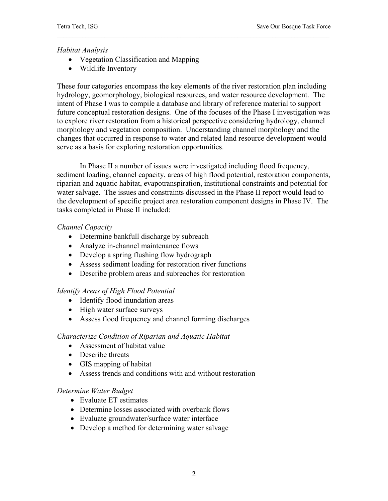#### *Habitat Analysis*

- Vegetation Classification and Mapping
- Wildlife Inventory

These four categories encompass the key elements of the river restoration plan including hydrology, geomorphology, biological resources, and water resource development. The intent of Phase I was to compile a database and library of reference material to support future conceptual restoration designs. One of the focuses of the Phase I investigation was to explore river restoration from a historical perspective considering hydrology, channel morphology and vegetation composition. Understanding channel morphology and the changes that occurred in response to water and related land resource development would serve as a basis for exploring restoration opportunities.

 In Phase II a number of issues were investigated including flood frequency, sediment loading, channel capacity, areas of high flood potential, restoration components, riparian and aquatic habitat, evapotranspiration, institutional constraints and potential for water salvage. The issues and constraints discussed in the Phase II report would lead to the development of specific project area restoration component designs in Phase IV. The tasks completed in Phase II included:

#### *Channel Capacity*

- Determine bankfull discharge by subreach
- Analyze in-channel maintenance flows
- Develop a spring flushing flow hydrograph
- Assess sediment loading for restoration river functions
- Describe problem areas and subreaches for restoration

#### *Identify Areas of High Flood Potential*

- Identify flood inundation areas
- High water surface surveys
- Assess flood frequency and channel forming discharges

#### *Characterize Condition of Riparian and Aquatic Habitat*

- Assessment of habitat value
- Describe threats
- GIS mapping of habitat
- Assess trends and conditions with and without restoration

#### *Determine Water Budget*

- Evaluate ET estimates
- Determine losses associated with overbank flows
- Evaluate groundwater/surface water interface
- Develop a method for determining water salvage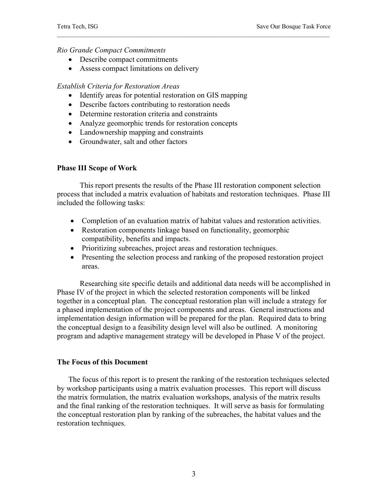#### *Rio Grande Compact Commitments*

- Describe compact commitments
- Assess compact limitations on delivery

#### *Establish Criteria for Restoration Areas*

- Identify areas for potential restoration on GIS mapping
- Describe factors contributing to restoration needs
- Determine restoration criteria and constraints
- Analyze geomorphic trends for restoration concepts
- Landownership mapping and constraints
- Groundwater, salt and other factors

#### **Phase III Scope of Work**

 This report presents the results of the Phase III restoration component selection process that included a matrix evaluation of habitats and restoration techniques. Phase III included the following tasks:

- Completion of an evaluation matrix of habitat values and restoration activities.
- Restoration components linkage based on functionality, geomorphic compatibility, benefits and impacts.
- Prioritizing subreaches, project areas and restoration techniques.
- Presenting the selection process and ranking of the proposed restoration project areas.

Researching site specific details and additional data needs will be accomplished in Phase IV of the project in which the selected restoration components will be linked together in a conceptual plan. The conceptual restoration plan will include a strategy for a phased implementation of the project components and areas. General instructions and implementation design information will be prepared for the plan. Required data to bring the conceptual design to a feasibility design level will also be outlined. A monitoring program and adaptive management strategy will be developed in Phase V of the project.

#### **The Focus of this Document**

 The focus of this report is to present the ranking of the restoration techniques selected by workshop participants using a matrix evaluation processes. This report will discuss the matrix formulation, the matrix evaluation workshops, analysis of the matrix results and the final ranking of the restoration techniques. It will serve as basis for formulating the conceptual restoration plan by ranking of the subreaches, the habitat values and the restoration techniques.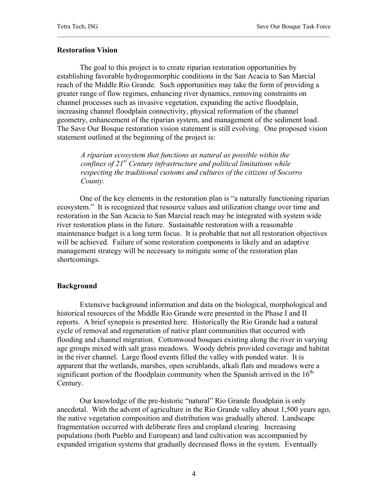#### **Restoration Vision**

 The goal to this project is to create riparian restoration opportunities by establishing favorable hydrogeomorphic conditions in the San Acacia to San Marcial reach of the Middle Rio Grande. Such opportunities may take the form of providing a greater range of flow regimes, enhancing river dynamics, removing constraints on channel processes such as invasive vegetation, expanding the active floodplain, increasing channel floodplain connectivity, physical reformation of the channel geometry, enhancement of the riparian system, and management of the sediment load. The Save Our Bosque restoration vision statement is still evolving. One proposed vision statement outlined at the beginning of the project is:

*A riparian ecosystem that functions as natural as possible within the confines of 21st Century infrastructure and political limitations while respecting the traditional customs and cultures of the citizens of Socorro County.* 

 One of the key elements in the restoration plan is "a naturally functioning riparian ecosystem." It is recognized that resource values and utilization change over time and restoration in the San Acacia to San Marcial reach may be integrated with system wide river restoration plans in the future. Sustainable restoration with a reasonable maintenance budget is a long term focus. It is probable that not all restoration objectives will be achieved. Failure of some restoration components is likely and an adaptive management strategy will be necessary to mitigate some of the restoration plan shortcomings.

#### **Background**

 Extensive background information and data on the biological, morphological and historical resources of the Middle Rio Grande were presented in the Phase I and II reports. A brief synopsis is presented here. Historically the Rio Grande had a natural cycle of removal and regeneration of native plant communities that occurred with flooding and channel migration. Cottonwood bosques existing along the river in varying age groups mixed with salt grass meadows. Woody debris provided coverage and habitat in the river channel. Large flood events filled the valley with ponded water. It is apparent that the wetlands, marshes, open scrublands, alkali flats and meadows were a significant portion of the floodplain community when the Spanish arrived in the  $16<sup>th</sup>$ Century.

 Our knowledge of the pre-historic "natural" Rio Grande floodplain is only anecdotal. With the advent of agriculture in the Rio Grande valley about 1,500 years ago, the native vegetation composition and distribution was gradually altered. Landscape fragmentation occurred with deliberate fires and cropland clearing. Increasing populations (both Pueblo and European) and land cultivation was accompanied by expanded irrigation systems that gradually decreased flows in the system. Eventually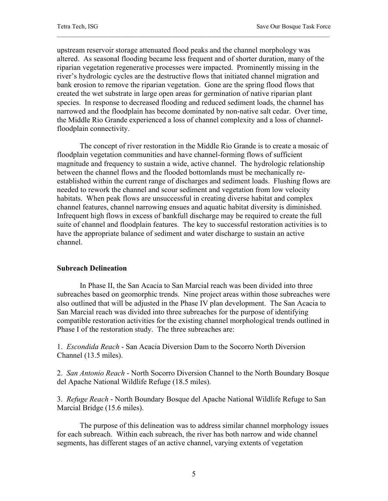upstream reservoir storage attenuated flood peaks and the channel morphology was altered. As seasonal flooding became less frequent and of shorter duration, many of the riparian vegetation regenerative processes were impacted. Prominently missing in the river's hydrologic cycles are the destructive flows that initiated channel migration and bank erosion to remove the riparian vegetation. Gone are the spring flood flows that created the wet substrate in large open areas for germination of native riparian plant species. In response to decreased flooding and reduced sediment loads, the channel has narrowed and the floodplain has become dominated by non-native salt cedar. Over time, the Middle Rio Grande experienced a loss of channel complexity and a loss of channelfloodplain connectivity.

 The concept of river restoration in the Middle Rio Grande is to create a mosaic of floodplain vegetation communities and have channel-forming flows of sufficient magnitude and frequency to sustain a wide, active channel. The hydrologic relationship between the channel flows and the flooded bottomlands must be mechanically reestablished within the current range of discharges and sediment loads. Flushing flows are needed to rework the channel and scour sediment and vegetation from low velocity habitats. When peak flows are unsuccessful in creating diverse habitat and complex channel features, channel narrowing ensues and aquatic habitat diversity is diminished. Infrequent high flows in excess of bankfull discharge may be required to create the full suite of channel and floodplain features. The key to successful restoration activities is to have the appropriate balance of sediment and water discharge to sustain an active channel.

#### **Subreach Delineation**

 In Phase II, the San Acacia to San Marcial reach was been divided into three subreaches based on geomorphic trends. Nine project areas within those subreaches were also outlined that will be adjusted in the Phase IV plan development. The San Acacia to San Marcial reach was divided into three subreaches for the purpose of identifying compatible restoration activities for the existing channel morphological trends outlined in Phase I of the restoration study. The three subreaches are:

1. *Escondida Reach* - San Acacia Diversion Dam to the Socorro North Diversion Channel (13.5 miles).

2. *San Antonio Reach* - North Socorro Diversion Channel to the North Boundary Bosque del Apache National Wildlife Refuge (18.5 miles).

3. *Refuge Reach* - North Boundary Bosque del Apache National Wildlife Refuge to San Marcial Bridge (15.6 miles).

The purpose of this delineation was to address similar channel morphology issues for each subreach. Within each subreach, the river has both narrow and wide channel segments, has different stages of an active channel, varying extents of vegetation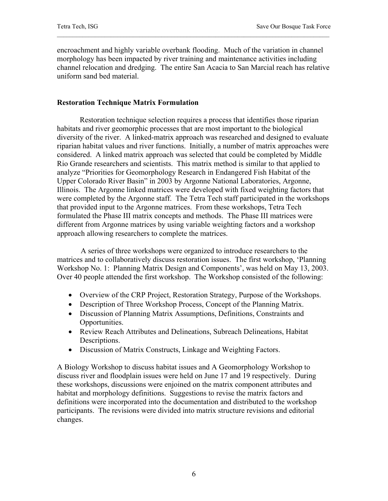encroachment and highly variable overbank flooding. Much of the variation in channel morphology has been impacted by river training and maintenance activities including channel relocation and dredging. The entire San Acacia to San Marcial reach has relative uniform sand bed material.

#### **Restoration Technique Matrix Formulation**

Restoration technique selection requires a process that identifies those riparian habitats and river geomorphic processes that are most important to the biological diversity of the river. A linked-matrix approach was researched and designed to evaluate riparian habitat values and river functions. Initially, a number of matrix approaches were considered. A linked matrix approach was selected that could be completed by Middle Rio Grande researchers and scientists. This matrix method is similar to that applied to analyze "Priorities for Geomorphology Research in Endangered Fish Habitat of the Upper Colorado River Basin" in 2003 by Argonne National Laboratories, Argonne, Illinois. The Argonne linked matrices were developed with fixed weighting factors that were completed by the Argonne staff. The Tetra Tech staff participated in the workshops that provided input to the Argonne matrices. From these workshops, Tetra Tech formulated the Phase III matrix concepts and methods. The Phase III matrices were different from Argonne matrices by using variable weighting factors and a workshop approach allowing researchers to complete the matrices.

 A series of three workshops were organized to introduce researchers to the matrices and to collaboratively discuss restoration issues. The first workshop, 'Planning Workshop No. 1: Planning Matrix Design and Components', was held on May 13, 2003. Over 40 people attended the first workshop. The Workshop consisted of the following:

- Overview of the CRP Project, Restoration Strategy, Purpose of the Workshops.
- Description of Three Workshop Process, Concept of the Planning Matrix.
- Discussion of Planning Matrix Assumptions, Definitions, Constraints and Opportunities.
- Review Reach Attributes and Delineations, Subreach Delineations, Habitat Descriptions.
- Discussion of Matrix Constructs, Linkage and Weighting Factors.

A Biology Workshop to discuss habitat issues and A Geomorphology Workshop to discuss river and floodplain issues were held on June 17 and 19 respectively. During these workshops, discussions were enjoined on the matrix component attributes and habitat and morphology definitions. Suggestions to revise the matrix factors and definitions were incorporated into the documentation and distributed to the workshop participants. The revisions were divided into matrix structure revisions and editorial changes.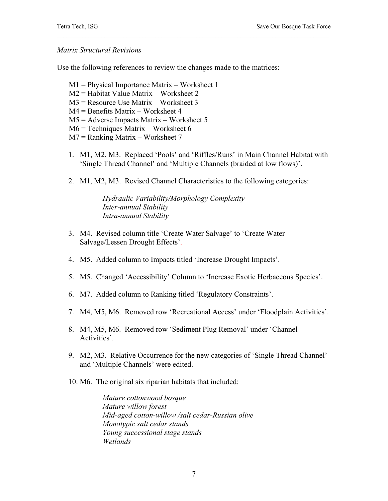#### *Matrix Structural Revisions*

Use the following references to review the changes made to the matrices:

- M1 = Physical Importance Matrix Worksheet 1
- M2 = Habitat Value Matrix Worksheet 2
- M3 = Resource Use Matrix Worksheet 3
- M4 = Benefits Matrix Worksheet 4
- M5 = Adverse Impacts Matrix Worksheet 5
- M6 = Techniques Matrix Worksheet 6
- M7 = Ranking Matrix Worksheet 7
- 1. M1, M2, M3. Replaced 'Pools' and 'Riffles/Runs' in Main Channel Habitat with 'Single Thread Channel' and 'Multiple Channels (braided at low flows)'.
- 2. M1, M2, M3. Revised Channel Characteristics to the following categories:

*Hydraulic Variability/Morphology Complexity Inter-annual Stability Intra-annual Stability* 

- 3. M4. Revised column title 'Create Water Salvage' to 'Create Water Salvage/Lessen Drought Effects'.
- 4. M5. Added column to Impacts titled 'Increase Drought Impacts'.
- 5. M5. Changed 'Accessibility' Column to 'Increase Exotic Herbaceous Species'.
- 6. M7. Added column to Ranking titled 'Regulatory Constraints'.
- 7. M4, M5, M6. Removed row 'Recreational Access' under 'Floodplain Activities'.
- 8. M4, M5, M6. Removed row 'Sediment Plug Removal' under 'Channel Activities'.
- 9. M2, M3. Relative Occurrence for the new categories of 'Single Thread Channel' and 'Multiple Channels' were edited.
- 10. M6. The original six riparian habitats that included:

*Mature cottonwood bosque Mature willow forest Mid-aged cotton-willow /salt cedar-Russian olive Monotypic salt cedar stands Young successional stage stands Wetlands*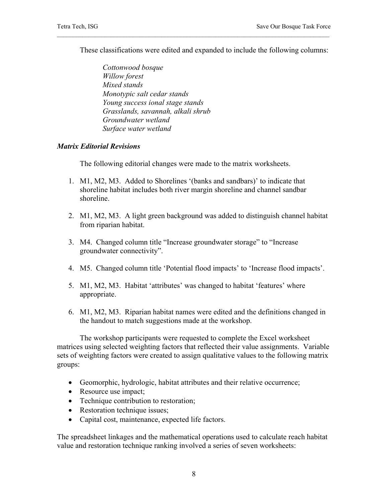These classifications were edited and expanded to include the following columns:

 *Cottonwood bosque Willow forest Mixed stands Monotypic salt cedar stands Young success ional stage stands Grasslands, savannah, alkali shrub Groundwater wetland Surface water wetland* 

#### *Matrix Editorial Revisions*

The following editorial changes were made to the matrix worksheets.

- 1. M1, M2, M3. Added to Shorelines '(banks and sandbars)' to indicate that shoreline habitat includes both river margin shoreline and channel sandbar shoreline.
- 2. M1, M2, M3. A light green background was added to distinguish channel habitat from riparian habitat.
- 3. M4. Changed column title "Increase groundwater storage" to "Increase groundwater connectivity".
- 4. M5. Changed column title 'Potential flood impacts' to 'Increase flood impacts'.
- 5. M1, M2, M3. Habitat 'attributes' was changed to habitat 'features' where appropriate.
- 6. M1, M2, M3. Riparian habitat names were edited and the definitions changed in the handout to match suggestions made at the workshop.

The workshop participants were requested to complete the Excel worksheet matrices using selected weighting factors that reflected their value assignments. Variable sets of weighting factors were created to assign qualitative values to the following matrix groups:

- Geomorphic, hydrologic, habitat attributes and their relative occurrence;
- Resource use impact;
- Technique contribution to restoration;
- Restoration technique issues;
- Capital cost, maintenance, expected life factors.

The spreadsheet linkages and the mathematical operations used to calculate reach habitat value and restoration technique ranking involved a series of seven worksheets: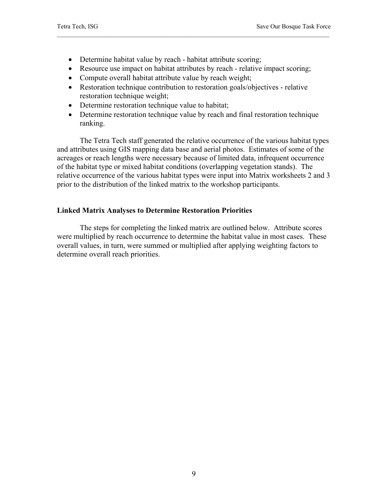- Determine habitat value by reach habitat attribute scoring;
- Resource use impact on habitat attributes by reach relative impact scoring;
- Compute overall habitat attribute value by reach weight;
- Restoration technique contribution to restoration goals/objectives relative restoration technique weight;
- Determine restoration technique value to habitat;
- Determine restoration technique value by reach and final restoration technique ranking.

The Tetra Tech staff generated the relative occurrence of the various habitat types and attributes using GIS mapping data base and aerial photos. Estimates of some of the acreages or reach lengths were necessary because of limited data, infrequent occurrence of the habitat type or mixed habitat conditions (overlapping vegetation stands). The relative occurrence of the various habitat types were input into Matrix worksheets 2 and 3 prior to the distribution of the linked matrix to the workshop participants.

#### **Linked Matrix Analyses to Determine Restoration Priorities**

The steps for completing the linked matrix are outlined below. Attribute scores were multiplied by reach occurrence to determine the habitat value in most cases. These overall values, in turn, were summed or multiplied after applying weighting factors to determine overall reach priorities.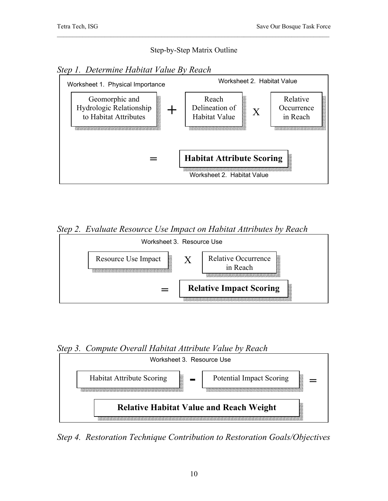#### Step-by-Step Matrix Outline

*Step 1. Determine Habitat Value By Reach* 



*Step 2. Evaluate Resource Use Impact on Habitat Attributes by Reach* 



*Step 3. Compute Overall Habitat Attribute Value by Reach* 



*Step 4. Restoration Technique Contribution to Restoration Goals/Objectives*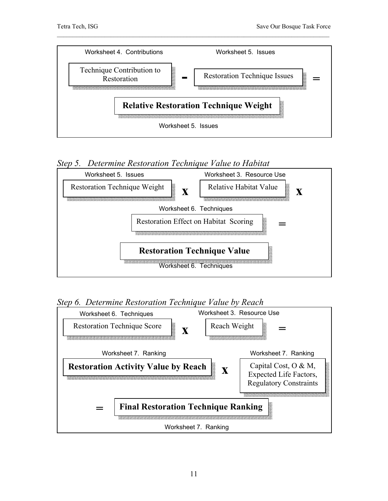

## *Step 5. Determine Restoration Technique Value to Habitat*



*Step 6. Determine Restoration Technique Value by Reach* 

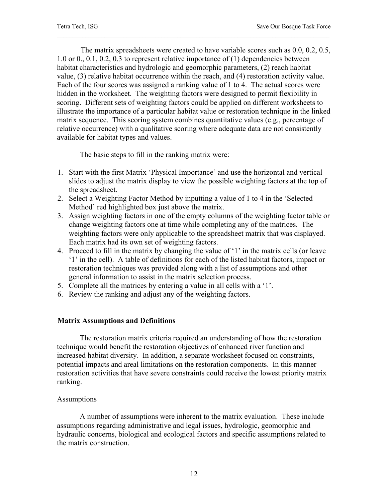The matrix spreadsheets were created to have variable scores such as 0.0, 0.2, 0.5, 1.0 or 0., 0.1, 0.2, 0.3 to represent relative importance of (1) dependencies between habitat characteristics and hydrologic and geomorphic parameters, (2) reach habitat value, (3) relative habitat occurrence within the reach, and (4) restoration activity value. Each of the four scores was assigned a ranking value of 1 to 4. The actual scores were hidden in the worksheet. The weighting factors were designed to permit flexibility in scoring. Different sets of weighting factors could be applied on different worksheets to illustrate the importance of a particular habitat value or restoration technique in the linked matrix sequence. This scoring system combines quantitative values (e.g., percentage of relative occurrence) with a qualitative scoring where adequate data are not consistently available for habitat types and values.

The basic steps to fill in the ranking matrix were:

- 1. Start with the first Matrix 'Physical Importance' and use the horizontal and vertical slides to adjust the matrix display to view the possible weighting factors at the top of the spreadsheet.
- 2. Select a Weighting Factor Method by inputting a value of 1 to 4 in the 'Selected Method' red highlighted box just above the matrix.
- 3. Assign weighting factors in one of the empty columns of the weighting factor table or change weighting factors one at time while completing any of the matrices. The weighting factors were only applicable to the spreadsheet matrix that was displayed. Each matrix had its own set of weighting factors.
- 4. Proceed to fill in the matrix by changing the value of '1' in the matrix cells (or leave '1' in the cell). A table of definitions for each of the listed habitat factors, impact or restoration techniques was provided along with a list of assumptions and other general information to assist in the matrix selection process.
- 5. Complete all the matrices by entering a value in all cells with a '1'.
- 6. Review the ranking and adjust any of the weighting factors.

#### **Matrix Assumptions and Definitions**

 The restoration matrix criteria required an understanding of how the restoration technique would benefit the restoration objectives of enhanced river function and increased habitat diversity. In addition, a separate worksheet focused on constraints, potential impacts and areal limitations on the restoration components. In this manner restoration activities that have severe constraints could receive the lowest priority matrix ranking.

#### Assumptions

 A number of assumptions were inherent to the matrix evaluation. These include assumptions regarding administrative and legal issues, hydrologic, geomorphic and hydraulic concerns, biological and ecological factors and specific assumptions related to the matrix construction.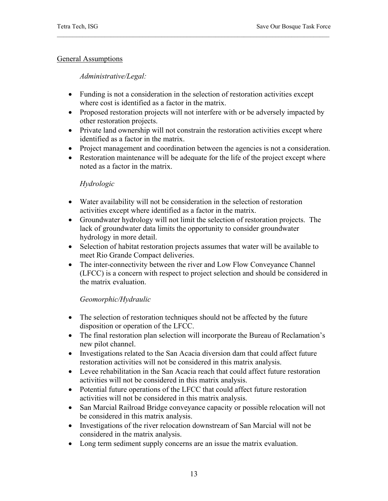#### General Assumptions

#### *Administrative/Legal:*

- Funding is not a consideration in the selection of restoration activities except where cost is identified as a factor in the matrix.
- Proposed restoration projects will not interfere with or be adversely impacted by other restoration projects.
- Private land ownership will not constrain the restoration activities except where identified as a factor in the matrix.
- Project management and coordination between the agencies is not a consideration.
- Restoration maintenance will be adequate for the life of the project except where noted as a factor in the matrix.

#### *Hydrologic*

- Water availability will not be consideration in the selection of restoration activities except where identified as a factor in the matrix.
- Groundwater hydrology will not limit the selection of restoration projects. The lack of groundwater data limits the opportunity to consider groundwater hydrology in more detail.
- Selection of habitat restoration projects assumes that water will be available to meet Rio Grande Compact deliveries.
- The inter-connectivity between the river and Low Flow Conveyance Channel (LFCC) is a concern with respect to project selection and should be considered in the matrix evaluation.

#### *Geomorphic/Hydraulic*

- The selection of restoration techniques should not be affected by the future disposition or operation of the LFCC.
- The final restoration plan selection will incorporate the Bureau of Reclamation's new pilot channel.
- Investigations related to the San Acacia diversion dam that could affect future restoration activities will not be considered in this matrix analysis.
- Levee rehabilitation in the San Acacia reach that could affect future restoration activities will not be considered in this matrix analysis.
- Potential future operations of the LFCC that could affect future restoration activities will not be considered in this matrix analysis.
- San Marcial Railroad Bridge conveyance capacity or possible relocation will not be considered in this matrix analysis.
- Investigations of the river relocation downstream of San Marcial will not be considered in the matrix analysis.
- Long term sediment supply concerns are an issue the matrix evaluation.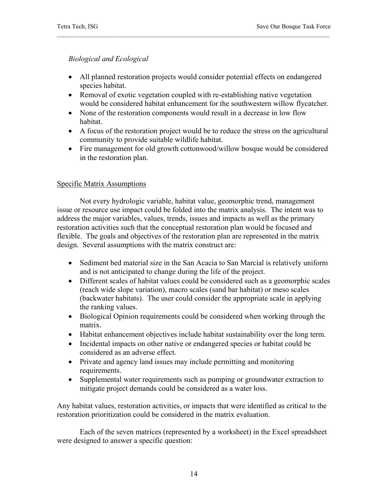#### *Biological and Ecological*

- All planned restoration projects would consider potential effects on endangered species habitat.
- Removal of exotic vegetation coupled with re-establishing native vegetation would be considered habitat enhancement for the southwestern willow flycatcher.
- None of the restoration components would result in a decrease in low flow habitat.
- A focus of the restoration project would be to reduce the stress on the agricultural community to provide suitable wildlife habitat.
- Fire management for old growth cottonwood/willow bosque would be considered in the restoration plan.

#### Specific Matrix Assumptions

 Not every hydrologic variable, habitat value, geomorphic trend, management issue or resource use impact could be folded into the matrix analysis. The intent was to address the major variables, values, trends, issues and impacts as well as the primary restoration activities such that the conceptual restoration plan would be focused and flexible. The goals and objectives of the restoration plan are represented in the matrix design. Several assumptions with the matrix construct are:

- Sediment bed material size in the San Acacia to San Marcial is relatively uniform and is not anticipated to change during the life of the project.
- Different scales of habitat values could be considered such as a geomorphic scales (reach wide slope variation), macro scales (sand bar habitat) or meso scales (backwater habitats). The user could consider the appropriate scale in applying the ranking values.
- Biological Opinion requirements could be considered when working through the matrix.
- Habitat enhancement objectives include habitat sustainability over the long term.
- Incidental impacts on other native or endangered species or habitat could be considered as an adverse effect.
- Private and agency land issues may include permitting and monitoring requirements.
- Supplemental water requirements such as pumping or groundwater extraction to mitigate project demands could be considered as a water loss.

Any habitat values, restoration activities, or impacts that were identified as critical to the restoration prioritization could be considered in the matrix evaluation.

 Each of the seven matrices (represented by a worksheet) in the Excel spreadsheet were designed to answer a specific question: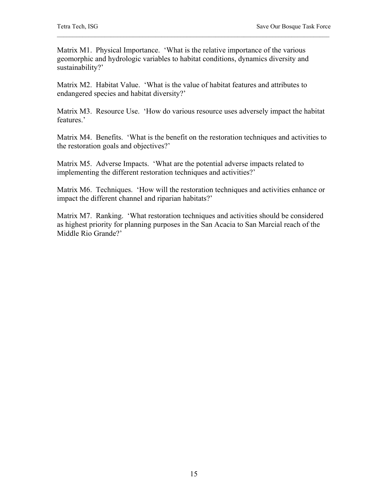Matrix M1. Physical Importance. 'What is the relative importance of the various geomorphic and hydrologic variables to habitat conditions, dynamics diversity and sustainability?'

Matrix M2. Habitat Value. 'What is the value of habitat features and attributes to endangered species and habitat diversity?'

Matrix M3. Resource Use. 'How do various resource uses adversely impact the habitat features.'

Matrix M4. Benefits. 'What is the benefit on the restoration techniques and activities to the restoration goals and objectives?'

Matrix M5. Adverse Impacts. 'What are the potential adverse impacts related to implementing the different restoration techniques and activities?'

Matrix M6. Techniques. 'How will the restoration techniques and activities enhance or impact the different channel and riparian habitats?'

Matrix M7. Ranking. 'What restoration techniques and activities should be considered as highest priority for planning purposes in the San Acacia to San Marcial reach of the Middle Rio Grande?'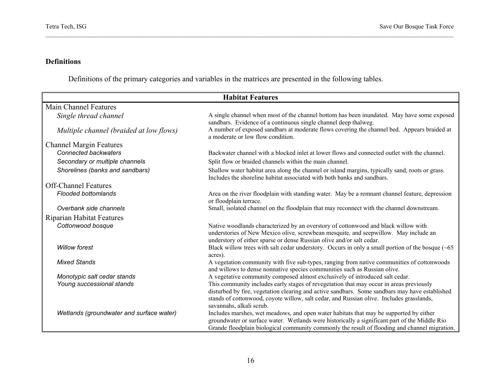#### **Definitions**

Definitions of the primary categories and variables in the matrices are presented in the following tables.

| <b>Habitat Features</b>                  |                                                                                                                                                                                                                                                                                                                   |  |
|------------------------------------------|-------------------------------------------------------------------------------------------------------------------------------------------------------------------------------------------------------------------------------------------------------------------------------------------------------------------|--|
| <b>Main Channel Features</b>             |                                                                                                                                                                                                                                                                                                                   |  |
| Single thread channel                    | A single channel when most of the channel bottom has been inundated. May have some exposed<br>sandbars. Evidence of a continuous single channel deep thalweg.                                                                                                                                                     |  |
| Multiple channel (braided at low flows)  | A number of exposed sandbars at moderate flows covering the channel bed. Appears braided at<br>a moderate or low flow condition.                                                                                                                                                                                  |  |
| <b>Channel Margin Features</b>           |                                                                                                                                                                                                                                                                                                                   |  |
| <b>Connected backwaters</b>              | Backwater channel with a blocked inlet at lower flows and connected outlet with the channel.                                                                                                                                                                                                                      |  |
| Secondary or multiple channels           | Split flow or braided channels within the main channel.                                                                                                                                                                                                                                                           |  |
| Shorelines (banks and sandbars)          | Shallow water habitat area along the channel or island margins, typically sand, roots or grass.<br>Includes the shoreline habitat associated with both banks and sandbars.                                                                                                                                        |  |
| <b>Off-Channel Features</b>              |                                                                                                                                                                                                                                                                                                                   |  |
| <b>Flooded bottomlands</b>               | Area on the river floodplain with standing water. May be a remnant channel feature, depression<br>or floodplain terrace.                                                                                                                                                                                          |  |
| Overbank side channels                   | Small, isolated channel on the floodplain that may reconnect with the channel downstream.                                                                                                                                                                                                                         |  |
| <b>Riparian Habitat Features</b>         |                                                                                                                                                                                                                                                                                                                   |  |
| Cottonwood bosque                        | Native woodlands characterized by an overstory of cottonwood and black willow with<br>understories of New Mexico olive, screwbean mesquite, and seepwillow. May include an<br>understory of either sparse or dense Russian olive and/or salt cedar.                                                               |  |
| <b>Willow forest</b>                     | Black willow trees with salt cedar understory. Occurs in only a small portion of the bosque $(-65)$<br>acres).                                                                                                                                                                                                    |  |
| <b>Mixed Stands</b>                      | A vegetation community with five sub-types, ranging from native communities of cottonwoods<br>and willows to dense nonnative species communities such as Russian olive.                                                                                                                                           |  |
| Monotypic salt cedar stands              | A vegetative community composed almost exclusively of introduced salt cedar.                                                                                                                                                                                                                                      |  |
| Young successional stands                | This community includes early stages of revegetation that may occur in areas previously<br>disturbed by fire, vegetation clearing and active sandbars. Some sandbars may have established<br>stands of cottonwood, coyote willow, salt cedar, and Russian olive. Includes grasslands,<br>savannahs, alkali scrub. |  |
| Wetlands (groundwater and surface water) | Includes marshes, wet meadows, and open water habitats that may be supported by either<br>groundwater or surface water. Wetlands were historically a significant part of the Middle Rio<br>Grande floodplain biological community commonly the result of flooding and channel migration.                          |  |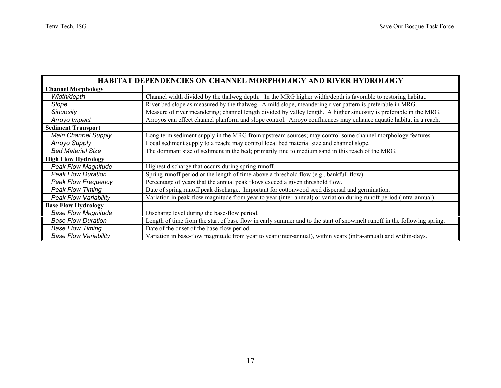÷

 $\blacksquare$ 

| <b>HABITAT DEPENDENCIES ON CHANNEL MORPHOLOGY AND RIVER HYDROLOGY</b> |                                                                                                                         |  |  |
|-----------------------------------------------------------------------|-------------------------------------------------------------------------------------------------------------------------|--|--|
| <b>Channel Morphology</b>                                             |                                                                                                                         |  |  |
| Width/depth                                                           | Channel width divided by the thalweg depth. In the MRG higher width/depth is favorable to restoring habitat.            |  |  |
| Slope                                                                 | River bed slope as measured by the thalweg. A mild slope, meandering river pattern is preferable in MRG.                |  |  |
| <b>Sinuosity</b>                                                      | Measure of river meandering; channel length divided by valley length. A higher sinuosity is preferable in the MRG.      |  |  |
| Arroyo Impact                                                         | Arroyos can effect channel planform and slope control. Arroyo confluences may enhance aquatic habitat in a reach.       |  |  |
| <b>Sediment Transport</b>                                             |                                                                                                                         |  |  |
| <b>Main Channel Supply</b>                                            | Long term sediment supply in the MRG from upstream sources; may control some channel morphology features.               |  |  |
| <b>Arroyo Supply</b>                                                  | Local sediment supply to a reach; may control local bed material size and channel slope.                                |  |  |
| <b>Bed Material Size</b>                                              | The dominant size of sediment in the bed; primarily fine to medium sand in this reach of the MRG.                       |  |  |
| <b>High Flow Hydrology</b>                                            |                                                                                                                         |  |  |
| <b>Peak Flow Magnitude</b>                                            | Highest discharge that occurs during spring runoff.                                                                     |  |  |
| <b>Peak Flow Duration</b>                                             | Spring-runoff period or the length of time above a threshold flow (e.g., bankfull flow).                                |  |  |
| <b>Peak Flow Frequency</b>                                            | Percentage of years that the annual peak flows exceed a given threshold flow.                                           |  |  |
| <b>Peak Flow Timing</b>                                               | Date of spring runoff peak discharge. Important for cottonwood seed dispersal and germination.                          |  |  |
| <b>Peak Flow Variability</b>                                          | Variation in peak-flow magnitude from year to year (inter-annual) or variation during runoff period (intra-annual).     |  |  |
| <b>Base Flow Hydrology</b>                                            |                                                                                                                         |  |  |
| <b>Base Flow Magnitude</b>                                            | Discharge level during the base-flow period.                                                                            |  |  |
| <b>Base Flow Duration</b>                                             | Length of time from the start of base flow in early summer and to the start of snowmelt runoff in the following spring. |  |  |
| <b>Base Flow Timing</b>                                               | Date of the onset of the base-flow period.                                                                              |  |  |
| <b>Base Flow Variability</b>                                          | Variation in base-flow magnitude from year to year (inter-annual), within years (intra-annual) and within-days.         |  |  |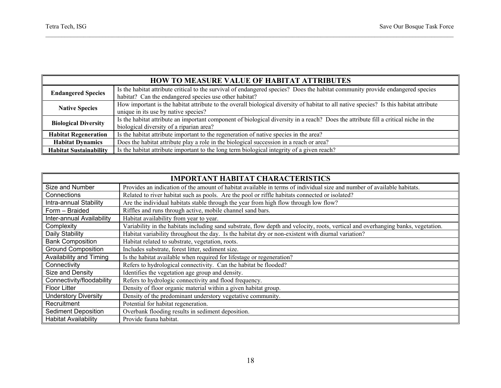| <b>HOW TO MEASURE VALUE OF HABITAT ATTRIBUTES</b> |                                                                                                                                                                                          |  |
|---------------------------------------------------|------------------------------------------------------------------------------------------------------------------------------------------------------------------------------------------|--|
| <b>Endangered Species</b>                         | Is the habitat attribute critical to the survival of endangered species? Does the habitat community provide endangered species<br>habitat? Can the endangered species use other habitat? |  |
| <b>Native Species</b>                             | How important is the habitat attribute to the overall biological diversity of habitat to all native species? Is this habitat attribute<br>unique in its use by native species?           |  |
| <b>Biological Diversity</b>                       | Is the habitat attribute an important component of biological diversity in a reach? Does the attribute fill a critical niche in the<br>biological diversity of a riparian area?          |  |
| <b>Habitat Regeneration</b>                       | Is the habitat attribute important to the regeneration of native species in the area?                                                                                                    |  |
| <b>Habitat Dynamics</b>                           | Does the habitat attribute play a role in the biological succession in a reach or area?                                                                                                  |  |
| <b>Habitat Sustainability</b>                     | Is the habitat attribute important to the long term biological integrity of a given reach?                                                                                               |  |

| <b>IMPORTANT HABITAT CHARACTERISTICS</b> |                                                                                                                                   |  |  |
|------------------------------------------|-----------------------------------------------------------------------------------------------------------------------------------|--|--|
| Size and Number                          | Provides an indication of the amount of habitat available in terms of individual size and number of available habitats.           |  |  |
| Connections                              | Related to river habitat such as pools. Are the pool or riffle habitats connected or isolated?                                    |  |  |
| Intra-annual Stability                   | Are the individual habitats stable through the year from high flow through low flow?                                              |  |  |
| Form - Braided                           | Riffles and runs through active, mobile channel sand bars.                                                                        |  |  |
| Inter-annual Availability                | Habitat availability from year to year.                                                                                           |  |  |
| Complexity                               | Variability in the habitats including sand substrate, flow depth and velocity, roots, vertical and overhanging banks, vegetation. |  |  |
| Daily Stability                          | Habitat variability throughout the day. Is the habitat dry or non-existent with diurnal variation?                                |  |  |
| <b>Bank Composition</b>                  | Habitat related to substrate, vegetation, roots.                                                                                  |  |  |
| <b>Ground Composition</b>                | Includes substrate, forest litter, sediment size.                                                                                 |  |  |
| Availability and Timing                  | Is the habitat available when required for lifestage or regeneration?                                                             |  |  |
| Connectivity                             | Refers to hydrological connectivity. Can the habitat be flooded?                                                                  |  |  |
| Size and Density                         | Identifies the vegetation age group and density.                                                                                  |  |  |
| Connectivity/floodability                | Refers to hydrologic connectivity and flood frequency.                                                                            |  |  |
| <b>Floor Litter</b>                      | Density of floor organic material within a given habitat group.                                                                   |  |  |
| <b>Understory Diversity</b>              | Density of the predominant understory vegetative community.                                                                       |  |  |
| Recruitment                              | Potential for habitat regeneration.                                                                                               |  |  |
| <b>Sediment Deposition</b>               | Overbank flooding results in sediment deposition.                                                                                 |  |  |
| <b>Habitat Availability</b>              | Provide fauna habitat.                                                                                                            |  |  |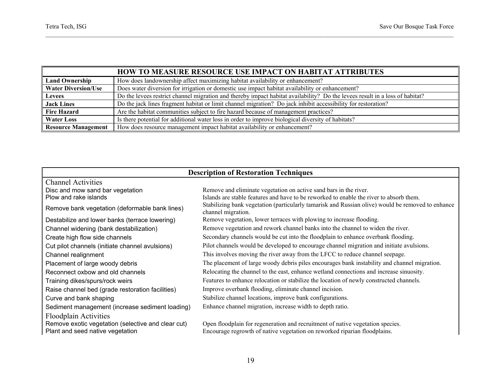|                            | <b>HOW TO MEASURE RESOURCE USE IMPACT ON HABITAT ATTRIBUTES</b>                                                              |
|----------------------------|------------------------------------------------------------------------------------------------------------------------------|
| <b>Land Ownership</b>      | How does landownership affect maximizing habitat availability or enhancement?                                                |
| <b>Water Diversion/Use</b> | Does water diversion for irrigation or domestic use impact habitat availability or enhancement?                              |
| <b>Levees</b>              | Do the levees restrict channel migration and thereby impact habitat availability? Do the levees result in a loss of habitat? |
| <b>Jack Lines</b>          | Do the jack lines fragment habitat or limit channel migration? Do jack inhibit accessibility for restoration?                |
| <b>Fire Hazard</b>         | Are the habitat communities subject to fire hazard because of management practices?                                          |
| <b>Water Loss</b>          | Is there potential for additional water loss in order to improve biological diversity of habitats?                           |
| <b>Resource Management</b> | How does resource management impact habitat availability or enhancement?                                                     |

| <b>Description of Restoration Techniques</b>       |                                                                                                                         |  |  |
|----------------------------------------------------|-------------------------------------------------------------------------------------------------------------------------|--|--|
| <b>Channel Activities</b>                          |                                                                                                                         |  |  |
| Disc and mow sand bar vegetation                   | Remove and eliminate vegetation on active sand bars in the river.                                                       |  |  |
| Plow and rake islands                              | Islands are stable features and have to be reworked to enable the river to absorb them.                                 |  |  |
| Remove bank vegetation (deformable bank lines)     | Stabilizing bank vegetation (particularly tamarisk and Russian olive) would be removed to enhance<br>channel migration. |  |  |
| Destabilize and lower banks (terrace lowering)     | Remove vegetation, lower terraces with plowing to increase flooding.                                                    |  |  |
| Channel widening (bank destabilization)            | Remove vegetation and rework channel banks into the channel to widen the river.                                         |  |  |
| Create high flow side channels                     | Secondary channels would be cut into the floodplain to enhance overbank flooding.                                       |  |  |
| Cut pilot channels (initiate channel avulsions)    | Pilot channels would be developed to encourage channel migration and initiate avulsions.                                |  |  |
| Channel realignment                                | This involves moving the river away from the LFCC to reduce channel seepage.                                            |  |  |
| Placement of large woody debris                    | The placement of large woody debris piles encourages bank instability and channel migration.                            |  |  |
| Reconnect oxbow and old channels                   | Relocating the channel to the east, enhance wetland connections and increase sinuosity.                                 |  |  |
| Training dikes/spurs/rock weirs                    | Features to enhance relocation or stabilize the location of newly constructed channels.                                 |  |  |
| Raise channel bed (grade restoration facilities)   | Improve overbank flooding, eliminate channel incision.                                                                  |  |  |
| Curve and bank shaping                             | Stabilize channel locations, improve bank configurations.                                                               |  |  |
| Sediment management (increase sediment loading)    | Enhance channel migration, increase width to depth ratio.                                                               |  |  |
| <b>Floodplain Activities</b>                       |                                                                                                                         |  |  |
| Remove exotic vegetation (selective and clear cut) | Open floodplain for regeneration and recruitment of native vegetation species.                                          |  |  |
| Plant and seed native vegetation                   | Encourage regrowth of native vegetation on reworked riparian floodplains.                                               |  |  |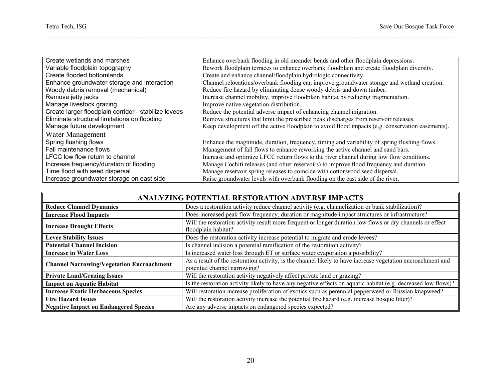$\mathbf \mathbf I$ 

| Create wetlands and marshes                          | Enhance overbank flooding in old meander bends and other floodplain depressions.                 |
|------------------------------------------------------|--------------------------------------------------------------------------------------------------|
| Variable floodplain topography                       | Rework floodplain terraces to enhance overbank floodplain and create floodplain diversity.       |
| Create flooded bottomlands                           | Create and enhance channel/floodplain hydrologic connectivity.                                   |
| Enhance groundwater storage and interaction          | Channel relocations/overbank flooding can improve groundwater storage and wetland creation.      |
| Woody debris removal (mechanical)                    | Reduce fire hazard by eliminating dense woody debris and down timber.                            |
| Remove jetty jacks                                   | Increase channel mobility, improve floodplain habitat by reducing fragmentation.                 |
| Manage livestock grazing                             | Improve native vegetation distribution.                                                          |
| Create larger floodplain corridor - stabilize levees | Reduce the potential adverse impact of enhancing channel migration.                              |
| Eliminate structural limitations on flooding         | Remove structures that limit the prescribed peak discharges from reservoir releases.             |
| Manage future development                            | Keep development off the active floodplain to avoid flood impacts (e.g. conservation easements). |
| Water Management                                     |                                                                                                  |
| Spring flushing flows                                | Enhance the magnitude, duration, frequency, timing and variability of spring flushing flows.     |
| Fall maintenance flows                               | Management of fall flows to enhance reworking the active channel and sand bars.                  |
| LFCC low flow return to channel                      | Increase and optimize LFCC return flows to the river channel during low flow conditions.         |
| Increase frequency/duration of flooding              | Manage Cochiti releases (and other reservoirs) to improve flood frequency and duration.          |
| Time flood with seed dispersal                       | Manage reservoir spring releases to coincide with cottonwood seed dispersal.                     |
| Increase groundwater storage on east side            | Raise groundwater levels with overbank flooding on the east side of the river.                   |

#### **ANALYZING POTENTIAL RESTORATION ADVERSE IMPACTS**

| <b>Reduce Channel Dynamics</b>                                                                                                                                      | Does a restoration activity reduce channel activity (e.g. channelization or bank stabilization)?                                            |  |
|---------------------------------------------------------------------------------------------------------------------------------------------------------------------|---------------------------------------------------------------------------------------------------------------------------------------------|--|
| <b>Increase Flood Impacts</b>                                                                                                                                       | Does increased peak flow frequency, duration or magnitude impact structures or infrastructure?                                              |  |
| Will the restoration activity result more frequent or longer duration low flows or dry channels or effect<br><b>Increase Drought Effects</b><br>floodplain habitat? |                                                                                                                                             |  |
| <b>Levee Stability Issues</b>                                                                                                                                       | Does the restoration activity increase potential to migrate and erode levees?                                                               |  |
| <b>Potential Channel Incision</b>                                                                                                                                   | Is channel incision a potential ramification of the restoration activity?                                                                   |  |
| <b>Increase in Water Loss</b>                                                                                                                                       | Is increased water loss through ET or surface water evaporation a possibility?                                                              |  |
| <b>Channel Narrowing/Vegetation Encroachment</b>                                                                                                                    | As a result of the restoration activity, is the channel likely to have increase vegetation encroachment and<br>potential channel narrowing? |  |
| <b>Private Land/Grazing Issues</b>                                                                                                                                  | Will the restoration activity negatively affect private land or grazing?                                                                    |  |
| <b>Impact on Aquatic Habitat</b>                                                                                                                                    | Is the restoration activity likely to have any negative effects on aquatic habitat (e.g. decreased low flows)?                              |  |
| <b>Increase Exotic Herbaceous Species</b>                                                                                                                           | Will restoration increase proliferation of exotics such as perennial pepperweed or Russian knapweed?                                        |  |
| <b>Fire Hazard Issues</b>                                                                                                                                           | Will the restoration activity increase the potential fire hazard (e.g. increase bosque litter)?                                             |  |
| <b>Negative Impact on Endangered Species</b>                                                                                                                        | Are any adverse impacts on endangered species expected?                                                                                     |  |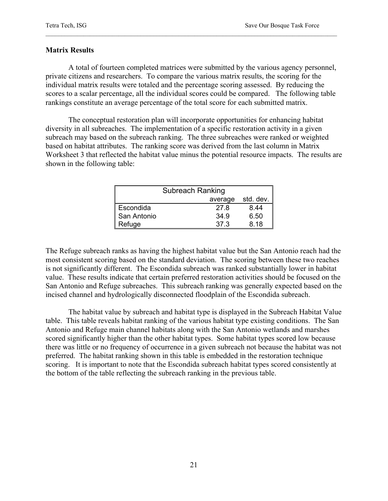#### **Matrix Results**

 A total of fourteen completed matrices were submitted by the various agency personnel, private citizens and researchers. To compare the various matrix results, the scoring for the individual matrix results were totaled and the percentage scoring assessed. By reducing the scores to a scalar percentage, all the individual scores could be compared. The following table rankings constitute an average percentage of the total score for each submitted matrix.

 The conceptual restoration plan will incorporate opportunities for enhancing habitat diversity in all subreaches. The implementation of a specific restoration activity in a given subreach may based on the subreach ranking. The three subreaches were ranked or weighted based on habitat attributes. The ranking score was derived from the last column in Matrix Worksheet 3 that reflected the habitat value minus the potential resource impacts. The results are shown in the following table:

|             | <b>Subreach Ranking</b> |           |
|-------------|-------------------------|-----------|
|             | average                 | std. dev. |
| Escondida   | 27.8                    | 8.44      |
| San Antonio | 34.9                    | 6.50      |
| Refuge      | 37.3                    | 8.18      |

The Refuge subreach ranks as having the highest habitat value but the San Antonio reach had the most consistent scoring based on the standard deviation. The scoring between these two reaches is not significantly different. The Escondida subreach was ranked substantially lower in habitat value. These results indicate that certain preferred restoration activities should be focused on the San Antonio and Refuge subreaches. This subreach ranking was generally expected based on the incised channel and hydrologically disconnected floodplain of the Escondida subreach.

 The habitat value by subreach and habitat type is displayed in the Subreach Habitat Value table. This table reveals habitat ranking of the various habitat type existing conditions. The San Antonio and Refuge main channel habitats along with the San Antonio wetlands and marshes scored significantly higher than the other habitat types. Some habitat types scored low because there was little or no frequency of occurrence in a given subreach not because the habitat was not preferred. The habitat ranking shown in this table is embedded in the restoration technique scoring. It is important to note that the Escondida subreach habitat types scored consistently at the bottom of the table reflecting the subreach ranking in the previous table.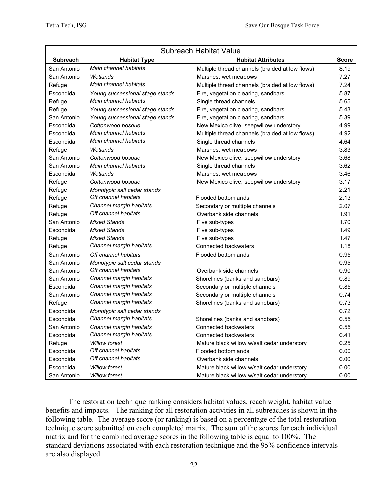| <b>Subreach Habitat Value</b> |                                 |                                                 |              |
|-------------------------------|---------------------------------|-------------------------------------------------|--------------|
| <b>Subreach</b>               | <b>Habitat Type</b>             | <b>Habitat Attributes</b>                       | <b>Score</b> |
| San Antonio                   | Main channel habitats           | Multiple thread channels (braided at low flows) | 8.19         |
| San Antonio                   | Wetlands                        | Marshes, wet meadows                            | 7.27         |
| Refuge                        | Main channel habitats           | Multiple thread channels (braided at low flows) | 7.24         |
| Escondida                     | Young successional stage stands | Fire, vegetation clearing, sandbars             | 5.87         |
| Refuge                        | Main channel habitats           | Single thread channels                          | 5.65         |
| Refuge                        | Young successional stage stands | Fire, vegetation clearing, sandbars             | 5.43         |
| San Antonio                   | Young successional stage stands | Fire, vegetation clearing, sandbars             | 5.39         |
| Escondida                     | Cottonwood bosque               | New Mexico olive, seepwillow understory         | 4.99         |
| Escondida                     | Main channel habitats           | Multiple thread channels (braided at low flows) | 4.92         |
| Escondida                     | Main channel habitats           | Single thread channels                          | 4.64         |
| Refuge                        | Wetlands                        | Marshes, wet meadows                            | 3.83         |
| San Antonio                   | Cottonwood bosque               | New Mexico olive, seepwillow understory         | 3.68         |
| San Antonio                   | Main channel habitats           | Single thread channels                          | 3.62         |
| Escondida                     | Wetlands                        | Marshes, wet meadows                            | 3.46         |
| Refuge                        | Cottonwood bosque               | New Mexico olive, seepwillow understory         | 3.17         |
| Refuge                        | Monotypic salt cedar stands     |                                                 | 2.21         |
| Refuge                        | Off channel habitats            | Flooded bottomlands                             | 2.13         |
| Refuge                        | Channel margin habitats         | Secondary or multiple channels                  | 2.07         |
| Refuge                        | Off channel habitats            | Overbank side channels                          | 1.91         |
| San Antonio                   | <b>Mixed Stands</b>             | Five sub-types                                  | 1.70         |
| Escondida                     | <b>Mixed Stands</b>             | Five sub-types                                  | 1.49         |
| Refuge                        | <b>Mixed Stands</b>             | Five sub-types                                  | 1.47         |
| Refuge                        | Channel margin habitats         | Connected backwaters                            | 1.18         |
| San Antonio                   | Off channel habitats            | <b>Flooded bottomlands</b>                      | 0.95         |
| San Antonio                   | Monotypic salt cedar stands     |                                                 | 0.95         |
| San Antonio                   | Off channel habitats            | Overbank side channels                          | 0.90         |
| San Antonio                   | Channel margin habitats         | Shorelines (banks and sandbars)                 | 0.89         |
| Escondida                     | Channel margin habitats         | Secondary or multiple channels                  | 0.85         |
| San Antonio                   | Channel margin habitats         | Secondary or multiple channels                  | 0.74         |
| Refuge                        | Channel margin habitats         | Shorelines (banks and sandbars)                 | 0.73         |
| Escondida                     | Monotypic salt cedar stands     |                                                 | 0.72         |
| Escondida                     | Channel margin habitats         | Shorelines (banks and sandbars)                 | 0.55         |
| San Antonio                   | Channel margin habitats         | Connected backwaters                            | 0.55         |
| Escondida                     | Channel margin habitats         | Connected backwaters                            | 0.41         |
| Refuge                        | <b>Willow forest</b>            | Mature black willow w/salt cedar understory     | 0.25         |
| Escondida                     | Off channel habitats            | Flooded bottomlands                             | 0.00         |
| Escondida                     | Off channel habitats            | Overbank side channels                          | 0.00         |
| Escondida                     | <b>Willow forest</b>            | Mature black willow w/salt cedar understory     | 0.00         |
| San Antonio                   | <b>Willow forest</b>            | Mature black willow w/salt cedar understory     | 0.00         |

 The restoration technique ranking considers habitat values, reach weight, habitat value benefits and impacts. The ranking for all restoration activities in all subreaches is shown in the following table. The average score (or ranking) is based on a percentage of the total restoration technique score submitted on each completed matrix. The sum of the scores for each individual matrix and for the combined average scores in the following table is equal to 100%. The standard deviations associated with each restoration technique and the 95% confidence intervals are also displayed.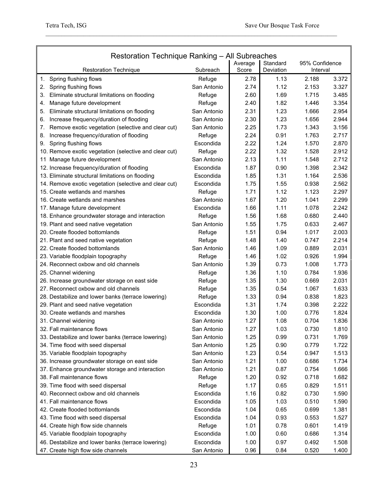| Restoration Technique Ranking - All Subreaches           |             |                  |                       |                            |       |
|----------------------------------------------------------|-------------|------------------|-----------------------|----------------------------|-------|
| <b>Restoration Technique</b>                             | Subreach    | Average<br>Score | Standard<br>Deviation | 95% Confidence<br>Interval |       |
| Spring flushing flows<br>1.                              | Refuge      | 2.78             | 1.13                  | 2.188                      | 3.372 |
| 2.<br>Spring flushing flows                              | San Antonio | 2.74             | 1.12                  | 2.153                      | 3.327 |
| 3.<br>Eliminate structural limitations on flooding       | Refuge      | 2.60             | 1.69                  | 1.715                      | 3.485 |
| Manage future development<br>4.                          | Refuge      | 2.40             | 1.82                  | 1.446                      | 3.354 |
| Eliminate structural limitations on flooding<br>5.       | San Antonio | 2.31             | 1.23                  | 1.666                      | 2.954 |
| Increase frequency/duration of flooding<br>6.            | San Antonio | 2.30             | 1.23                  | 1.656                      | 2.944 |
| Remove exotic vegetation (selective and clear cut)<br>7. | San Antonio | 2.25             | 1.73                  | 1.343                      | 3.156 |
| Increase frequency/duration of flooding<br>8.            | Refuge      | 2.24             | 0.91                  | 1.763                      | 2.717 |
| Spring flushing flows<br>9.                              | Escondida   | 2.22             | 1.24                  | 1.570                      | 2.870 |
| 10. Remove exotic vegetation (selective and clear cut)   | Refuge      | 2.22             | 1.32                  | 1.528                      | 2.912 |
| 11 Manage future development                             | San Antonio | 2.13             | 1.11                  | 1.548                      | 2.712 |
| 12. Increase frequency/duration of flooding              | Escondida   | 1.87             | 0.90                  | 1.398                      | 2.342 |
| 13. Eliminate structural limitations on flooding         | Escondida   | 1.85             | 1.31                  | 1.164                      | 2.536 |
| 14. Remove exotic vegetation (selective and clear cut)   | Escondida   | 1.75             | 1.55                  | 0.938                      | 2.562 |
| 15. Create wetlands and marshes                          | Refuge      | 1.71             | 1.12                  | 1.123                      | 2.297 |
| 16. Create wetlands and marshes                          | San Antonio | 1.67             | 1.20                  | 1.041                      | 2.299 |
| 17. Manage future development                            | Escondida   | 1.66             | 1.11                  | 1.078                      | 2.242 |
| 18. Enhance groundwater storage and interaction          | Refuge      | 1.56             | 1.68                  | 0.680                      | 2.440 |
| 19. Plant and seed native vegetation                     | San Antonio | 1.55             | 1.75                  | 0.633                      | 2.467 |
| 20. Create flooded bottomlands                           | Refuge      | 1.51             | 0.94                  | 1.017                      | 2.003 |
| 21. Plant and seed native vegetation                     | Refuge      | 1.48             | 1.40                  | 0.747                      | 2.214 |
| 22. Create flooded bottomlands                           | San Antonio | 1.46             | 1.09                  | 0.889                      | 2.031 |
| 23. Variable floodplain topography                       | Refuge      | 1.46             | 1.02                  | 0.926                      | 1.994 |
| 24. Reconnect oxbow and old channels                     | San Antonio | 1.39             | 0.73                  | 1.008                      | 1.773 |
| 25. Channel widening                                     | Refuge      | 1.36             | 1.10                  | 0.784                      | 1.936 |
| 26. Increase groundwater storage on east side            | Refuge      | 1.35             | 1.30                  | 0.669                      | 2.031 |
| 27. Reconnect oxbow and old channels                     | Refuge      | 1.35             | 0.54                  | 1.067                      | 1.633 |
| 28. Destabilize and lower banks (terrace lowering)       | Refuge      | 1.33             | 0.94                  | 0.838                      | 1.823 |
| 29. Plant and seed native vegetation                     | Escondida   | 1.31             | 1.74                  | 0.398                      | 2.222 |
| 30. Create wetlands and marshes                          | Escondida   | 1.30             | 1.00                  | 0.776                      | 1.824 |
| 31. Channel widening                                     | San Antonio | 1.27             | 1.08                  | 0.704                      | 1.836 |
| 32. Fall maintenance flows                               | San Antonio | 1.27             | 1.03                  | 0.730                      | 1.810 |
| 33. Destabilize and lower banks (terrace lowering)       | San Antonio | 1.25             | 0.99                  | 0.731                      | 1.769 |
| 34. Time flood with seed dispersal                       | San Antonio | 1.25             | 0.90                  | 0.779                      | 1.722 |
| 35. Variable floodplain topography                       | San Antonio | 1.23             | 0.54                  | 0.947                      | 1.513 |
| 36. Increase groundwater storage on east side            | San Antonio | 1.21             | 1.00                  | 0.686                      | 1.734 |
| 37. Enhance groundwater storage and interaction          | San Antonio | 1.21             | 0.87                  | 0.754                      | 1.666 |
| 38. Fall maintenance flows                               | Refuge      | 1.20             | 0.92                  | 0.718                      | 1.682 |
| 39. Time flood with seed dispersal                       | Refuge      | 1.17             | 0.65                  | 0.829                      | 1.511 |
| 40. Reconnect oxbow and old channels                     | Escondida   | 1.16             | 0.82                  | 0.730                      | 1.590 |
| 41. Fall maintenance flows                               | Escondida   | 1.05             | 1.03                  | 0.510                      | 1.590 |
| 42. Create flooded bottomlands                           | Escondida   | 1.04             | 0.65                  | 0.699                      | 1.381 |
| 43. Time flood with seed dispersal                       | Escondida   | 1.04             | 0.93                  | 0.553                      | 1.527 |
| 44. Create high flow side channels                       | Refuge      | 1.01             | 0.78                  | 0.601                      | 1.419 |
| 45. Variable floodplain topography                       | Escondida   | 1.00             | 0.60                  | 0.686                      | 1.314 |
| 46. Destabilize and lower banks (terrace lowering)       | Escondida   | 1.00             | 0.97                  | 0.492                      | 1.508 |
| 47. Create high flow side channels                       | San Antonio | 0.96             | 0.84                  | 0.520                      | 1.400 |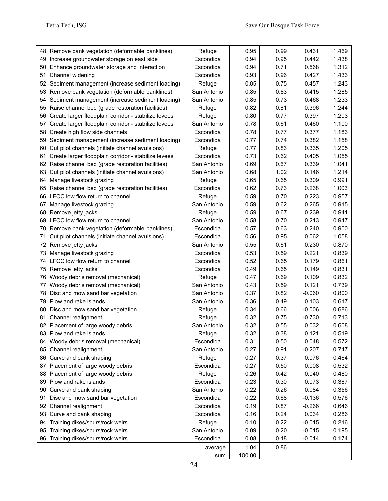| 48. Remove bank vegetation (deformable banklines)        | Refuge      | 0.95   | 0.99 | 0.431    | 1.469 |
|----------------------------------------------------------|-------------|--------|------|----------|-------|
| 49. Increase groundwater storage on east side            | Escondida   | 0.94   | 0.95 | 0.442    | 1.438 |
| 50. Enhance groundwater storage and interaction          | Escondida   | 0.94   | 0.71 | 0.568    | 1.312 |
| 51. Channel widening                                     | Escondida   | 0.93   | 0.96 | 0.427    | 1.433 |
| 52. Sediment management (increase sediment loading)      | Refuge      | 0.85   | 0.75 | 0.457    | 1.243 |
| 53. Remove bank vegetation (deformable banklines)        | San Antonio | 0.85   | 0.83 | 0.415    | 1.285 |
| 54. Sediment management (increase sediment loading)      | San Antonio | 0.85   | 0.73 | 0.468    | 1.233 |
| 55. Raise channel bed (grade restoration facilities)     | Refuge      | 0.82   | 0.81 | 0.396    | 1.244 |
| 56. Create larger floodplain corridor - stabilize levees | Refuge      | 0.80   | 0.77 | 0.397    | 1.203 |
| 57. Create larger floodplain corridor - stabilize levees | San Antonio | 0.78   | 0.61 | 0.460    | 1.100 |
| 58. Create high flow side channels                       | Escondida   | 0.78   | 0.77 | 0.377    | 1.183 |
| 59. Sediment management (increase sediment loading)      | Escondida   | 0.77   | 0.74 | 0.382    | 1.158 |
| 60. Cut pilot channels (initiate channel avulsions)      | Refuge      | 0.77   | 0.83 | 0.335    | 1.205 |
| 61. Create larger floodplain corridor - stabilize levees | Escondida   | 0.73   | 0.62 | 0.405    | 1.055 |
| 62. Raise channel bed (grade restoration facilities)     | San Antonio | 0.69   | 0.67 | 0.339    | 1.041 |
| 63. Cut pilot channels (initiate channel avulsions)      | San Antonio | 0.68   | 1.02 | 0.146    | 1.214 |
| 64. Manage livestock grazing                             | Refuge      | 0.65   | 0.65 | 0.309    | 0.991 |
| 65. Raise channel bed (grade restoration facilities)     | Escondida   | 0.62   | 0.73 | 0.238    | 1.003 |
| 66. LFCC low flow return to channel                      | Refuge      | 0.59   | 0.70 | 0.223    | 0.957 |
| 67. Manage livestock grazing                             | San Antonio | 0.59   | 0.62 | 0.265    | 0.915 |
| 68. Remove jetty jacks                                   | Refuge      | 0.59   | 0.67 | 0.239    | 0.941 |
| 69. LFCC low flow return to channel                      | San Antonio | 0.58   | 0.70 | 0.213    | 0.947 |
| 70. Remove bank vegetation (deformable banklines)        | Escondida   | 0.57   | 0.63 | 0.240    | 0.900 |
| 71. Cut pilot channels (initiate channel avulsions)      | Escondida   | 0.56   | 0.95 | 0.062    | 1.058 |
| 72. Remove jetty jacks                                   | San Antonio | 0.55   | 0.61 | 0.230    | 0.870 |
| 73. Manage livestock grazing                             | Escondida   | 0.53   | 0.59 | 0.221    | 0.839 |
| 74. LFCC low flow return to channel                      | Escondida   | 0.52   | 0.65 | 0.179    | 0.861 |
| 75. Remove jetty jacks                                   | Escondida   | 0.49   | 0.65 | 0.149    | 0.831 |
| 76. Woody debris removal (mechanical)                    | Refuge      | 0.47   | 0.69 | 0.109    | 0.832 |
| 77. Woody debris removal (mechanical)                    | San Antonio | 0.43   | 0.59 | 0.121    | 0.739 |
| 78. Disc and mow sand bar vegetation                     | San Antonio | 0.37   | 0.82 | $-0.060$ | 0.800 |
| 79. Plow and rake islands                                | San Antonio | 0.36   | 0.49 | 0.103    | 0.617 |
| 80. Disc and mow sand bar vegetation                     | Refuge      | 0.34   | 0.66 | $-0.006$ | 0.686 |
| 81. Channel realignment                                  | Refuge      | 0.32   | 0.75 | $-0.730$ | 0.713 |
| 82. Placement of large woody debris                      | San Antonio | 0.32   | 0.55 | 0.032    | 0.608 |
| 83. Plow and rake islands                                | Refuge      | 0.32   | 0.38 | 0.121    | 0.519 |
| 84. Woody debris removal (mechanical)                    | Escondida   | 0.31   | 0.50 | 0.048    | 0.572 |
| 85. Channel realignment                                  | San Antonio | 0.27   | 0.91 | $-0.207$ | 0.747 |
| 86. Curve and bank shaping                               | Refuge      | 0.27   | 0.37 | 0.076    | 0.464 |
| 87. Placement of large woody debris                      | Escondida   | 0.27   | 0.50 | 0.008    | 0.532 |
| 88. Placement of large woody debris                      | Refuge      | 0.26   | 0.42 | 0.040    | 0.480 |
| 89. Plow and rake islands                                | Escondida   | 0.23   | 0.30 | 0.073    | 0.387 |
| 90. Curve and bank shaping                               | San Antonio | 0.22   | 0.26 | 0.084    | 0.356 |
| 91. Disc and mow sand bar vegetation                     | Escondida   | 0.22   | 0.68 | $-0.136$ | 0.576 |
| 92. Channel realignment                                  | Escondida   | 0.19   | 0.87 | $-0.266$ | 0.646 |
| 93. Curve and bank shaping                               | Escondida   | 0.16   | 0.24 | 0.034    | 0.286 |
| 94. Training dikes/spurs/rock weirs                      | Refuge      | 0.10   | 0.22 | $-0.015$ | 0.216 |
| 95. Training dikes/spurs/rock weirs                      | San Antonio | 0.09   | 0.20 | $-0.015$ | 0.195 |
| 96. Training dikes/spurs/rock weirs                      | Escondida   | 0.08   | 0.18 | $-0.014$ | 0.174 |
|                                                          | average     | 1.04   | 0.86 |          |       |
|                                                          | sum         | 100.00 |      |          |       |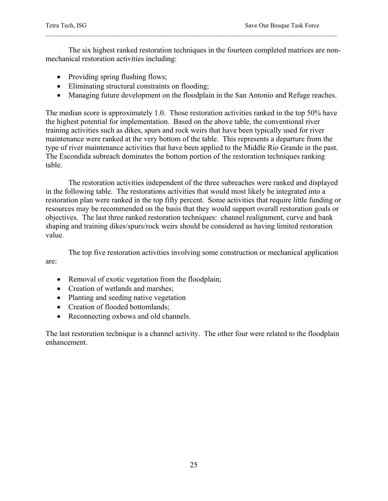The six highest ranked restoration techniques in the fourteen completed matrices are nonmechanical restoration activities including:

- Providing spring flushing flows;
- Eliminating structural constraints on flooding;
- Managing future development on the floodplain in the San Antonio and Refuge reaches.

The median score is approximately 1.0. Those restoration activities ranked in the top 50% have the highest potential for implementation. Based on the above table, the conventional river training activities such as dikes, spurs and rock weirs that have been typically used for river maintenance were ranked at the very bottom of the table. This represents a departure from the type of river maintenance activities that have been applied to the Middle Rio Grande in the past. The Escondida subreach dominates the bottom portion of the restoration techniques ranking table.

 The restoration activities independent of the three subreaches were ranked and displayed in the following table. The restorations activities that would most likely be integrated into a restoration plan were ranked in the top fifty percent. Some activities that require little funding or resources may be recommended on the basis that they would support overall restoration goals or objectives. The last three ranked restoration techniques: channel realignment, curve and bank shaping and training dikes/spurs/rock weirs should be considered as having limited restoration value.

 The top five restoration activities involving some construction or mechanical application are:

- Removal of exotic vegetation from the floodplain;
- Creation of wetlands and marshes;
- Planting and seeding native vegetation
- Creation of flooded bottomlands:
- Reconnecting oxbows and old channels.

The last restoration technique is a channel activity. The other four were related to the floodplain enhancement.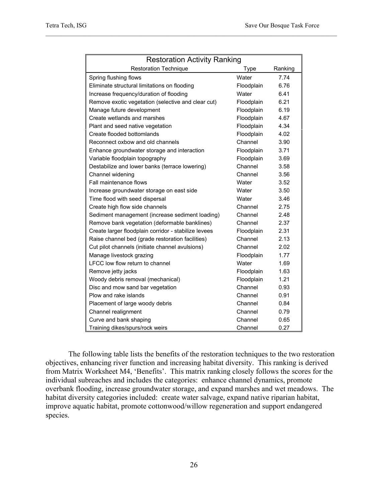| <b>Restoration Activity Ranking</b>                  |            |         |  |
|------------------------------------------------------|------------|---------|--|
| <b>Restoration Technique</b>                         | Type       | Ranking |  |
| Spring flushing flows                                | Water      | 7.74    |  |
| Eliminate structural limitations on flooding         | Floodplain | 6.76    |  |
| Increase frequency/duration of flooding              | Water      | 6.41    |  |
| Remove exotic vegetation (selective and clear cut)   | Floodplain | 6.21    |  |
| Manage future development                            | Floodplain | 6.19    |  |
| Create wetlands and marshes                          | Floodplain | 4.67    |  |
| Plant and seed native vegetation                     | Floodplain | 4.34    |  |
| Create flooded bottomlands                           | Floodplain | 4.02    |  |
| Reconnect oxbow and old channels                     | Channel    | 3.90    |  |
| Enhance groundwater storage and interaction          | Floodplain | 3.71    |  |
| Variable floodplain topography                       | Floodplain | 3.69    |  |
| Destabilize and lower banks (terrace lowering)       | Channel    | 3.58    |  |
| Channel widening                                     | Channel    | 3.56    |  |
| Fall maintenance flows                               | Water      | 3.52    |  |
| Increase groundwater storage on east side            | Water      | 3.50    |  |
| Time flood with seed dispersal                       | Water      | 3.46    |  |
| Create high flow side channels                       | Channel    | 2.75    |  |
| Sediment management (increase sediment loading)      | Channel    | 2.48    |  |
| Remove bank vegetation (deformable banklines)        | Channel    | 2.37    |  |
| Create larger floodplain corridor - stabilize levees | Floodplain | 2.31    |  |
| Raise channel bed (grade restoration facilities)     | Channel    | 2.13    |  |
| Cut pilot channels (initiate channel avulsions)      | Channel    | 2.02    |  |
| Manage livestock grazing                             | Floodplain | 1.77    |  |
| LFCC low flow return to channel                      | Water      | 1.69    |  |
| Remove jetty jacks                                   | Floodplain | 1.63    |  |
| Woody debris removal (mechanical)                    | Floodplain | 1.21    |  |
| Disc and mow sand bar vegetation                     | Channel    | 0.93    |  |
| Plow and rake islands                                | Channel    | 0.91    |  |
| Placement of large woody debris                      | Channel    | 0.84    |  |
| Channel realignment                                  | Channel    | 0.79    |  |
| Curve and bank shaping                               | Channel    | 0.65    |  |
| Training dikes/spurs/rock weirs                      | Channel    | 0.27    |  |

The following table lists the benefits of the restoration techniques to the two restoration objectives, enhancing river function and increasing habitat diversity. This ranking is derived from Matrix Worksheet M4, 'Benefits'. This matrix ranking closely follows the scores for the individual subreaches and includes the categories: enhance channel dynamics, promote overbank flooding, increase groundwater storage, and expand marshes and wet meadows. The habitat diversity categories included: create water salvage, expand native riparian habitat, improve aquatic habitat, promote cottonwood/willow regeneration and support endangered species.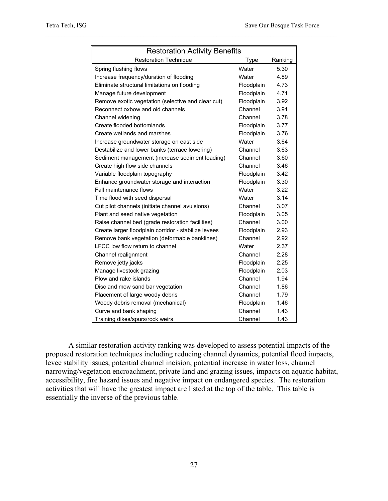| <b>Restoration Activity Benefits</b>                 |            |         |  |
|------------------------------------------------------|------------|---------|--|
| <b>Restoration Technique</b>                         | Type       | Ranking |  |
| Spring flushing flows                                | Water      | 5.30    |  |
| Increase frequency/duration of flooding              | Water      | 4.89    |  |
| Eliminate structural limitations on flooding         | Floodplain | 4.73    |  |
| Manage future development                            | Floodplain | 4.71    |  |
| Remove exotic vegetation (selective and clear cut)   | Floodplain | 3.92    |  |
| Reconnect oxbow and old channels                     | Channel    | 3.91    |  |
| Channel widening                                     | Channel    | 3.78    |  |
| Create flooded bottomlands                           | Floodplain | 3.77    |  |
| Create wetlands and marshes                          | Floodplain | 3.76    |  |
| Increase groundwater storage on east side            | Water      | 3.64    |  |
| Destabilize and lower banks (terrace lowering)       | Channel    | 3.63    |  |
| Sediment management (increase sediment loading)      | Channel    | 3.60    |  |
| Create high flow side channels                       | Channel    | 3.46    |  |
| Variable floodplain topography                       | Floodplain | 3.42    |  |
| Enhance groundwater storage and interaction          | Floodplain | 3.30    |  |
| Fall maintenance flows                               | Water      | 3.22    |  |
| Time flood with seed dispersal                       | Water      | 3.14    |  |
| Cut pilot channels (initiate channel avulsions)      | Channel    | 3.07    |  |
| Plant and seed native vegetation                     | Floodplain | 3.05    |  |
| Raise channel bed (grade restoration facilities)     | Channel    | 3.00    |  |
| Create larger floodplain corridor - stabilize levees | Floodplain | 2.93    |  |
| Remove bank vegetation (deformable banklines)        | Channel    | 2.92    |  |
| LFCC low flow return to channel                      | Water      | 2.37    |  |
| Channel realignment                                  | Channel    | 2.28    |  |
| Remove jetty jacks                                   | Floodplain | 2.25    |  |
| Manage livestock grazing                             | Floodplain | 2.03    |  |
| Plow and rake islands                                | Channel    | 1.94    |  |
| Disc and mow sand bar vegetation                     | Channel    | 1.86    |  |
| Placement of large woody debris                      | Channel    | 1.79    |  |
| Woody debris removal (mechanical)                    | Floodplain | 1.46    |  |
| Curve and bank shaping                               | Channel    | 1.43    |  |
| Training dikes/spurs/rock weirs                      | Channel    | 1.43    |  |

 A similar restoration activity ranking was developed to assess potential impacts of the proposed restoration techniques including reducing channel dynamics, potential flood impacts, levee stability issues, potential channel incision, potential increase in water loss, channel narrowing/vegetation encroachment, private land and grazing issues, impacts on aquatic habitat, accessibility, fire hazard issues and negative impact on endangered species. The restoration activities that will have the greatest impact are listed at the top of the table. This table is essentially the inverse of the previous table.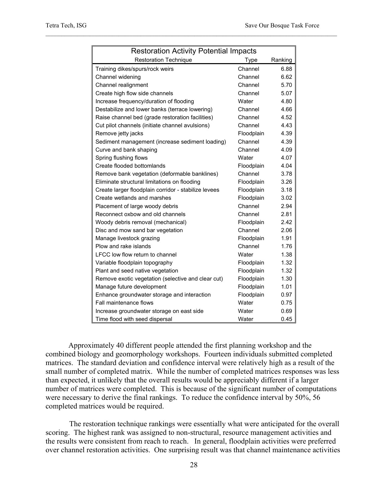| <b>Restoration Activity Potential Impacts</b>        |            |         |
|------------------------------------------------------|------------|---------|
| <b>Restoration Technique</b>                         | Type       | Ranking |
| Training dikes/spurs/rock weirs                      | Channel    | 6.88    |
| Channel widening                                     | Channel    | 6.62    |
| Channel realignment                                  | Channel    | 5.70    |
| Create high flow side channels                       | Channel    | 5.07    |
| Increase frequency/duration of flooding              | Water      | 4.80    |
| Destabilize and lower banks (terrace lowering)       | Channel    | 4.66    |
| Raise channel bed (grade restoration facilities)     | Channel    | 4.52    |
| Cut pilot channels (initiate channel avulsions)      | Channel    | 4.43    |
| Remove jetty jacks                                   | Floodplain | 4.39    |
| Sediment management (increase sediment loading)      | Channel    | 4.39    |
| Curve and bank shaping                               | Channel    | 4.09    |
| Spring flushing flows                                | Water      | 4.07    |
| Create flooded bottomlands                           | Floodplain | 4.04    |
| Remove bank vegetation (deformable banklines)        | Channel    | 3.78    |
| Eliminate structural limitations on flooding         | Floodplain | 3.26    |
| Create larger floodplain corridor - stabilize levees | Floodplain | 3.18    |
| Create wetlands and marshes                          | Floodplain | 3.02    |
| Placement of large woody debris                      | Channel    | 2.94    |
| Reconnect oxbow and old channels                     | Channel    | 2.81    |
| Woody debris removal (mechanical)                    | Floodplain | 2.42    |
| Disc and mow sand bar vegetation                     | Channel    | 2.06    |
| Manage livestock grazing                             | Floodplain | 1.91    |
| Plow and rake islands                                | Channel    | 1.76    |
| LFCC low flow return to channel                      | Water      | 1.38    |
| Variable floodplain topography                       | Floodplain | 1.32    |
| Plant and seed native vegetation                     | Floodplain | 1.32    |
| Remove exotic vegetation (selective and clear cut)   | Floodplain | 1.30    |
| Manage future development                            | Floodplain | 1.01    |
| Enhance groundwater storage and interaction          | Floodplain | 0.97    |
| Fall maintenance flows                               | Water      | 0.75    |
| Increase groundwater storage on east side            | Water      | 0.69    |
| Time flood with seed dispersal                       | Water      | 0.45    |

Approximately 40 different people attended the first planning workshop and the combined biology and geomorphology workshops. Fourteen individuals submitted completed matrices. The standard deviation and confidence interval were relatively high as a result of the small number of completed matrix. While the number of completed matrices responses was less than expected, it unlikely that the overall results would be appreciably different if a larger number of matrices were completed. This is because of the significant number of computations were necessary to derive the final rankings. To reduce the confidence interval by 50%, 56 completed matrices would be required.

 The restoration technique rankings were essentially what were anticipated for the overall scoring. The highest rank was assigned to non-structural, resource management activities and the results were consistent from reach to reach. In general, floodplain activities were preferred over channel restoration activities. One surprising result was that channel maintenance activities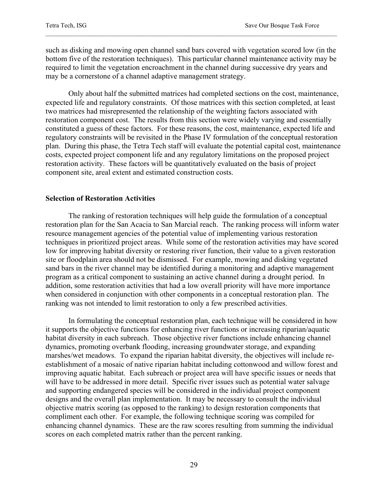such as disking and mowing open channel sand bars covered with vegetation scored low (in the bottom five of the restoration techniques). This particular channel maintenance activity may be required to limit the vegetation encroachment in the channel during successive dry years and may be a cornerstone of a channel adaptive management strategy.

Only about half the submitted matrices had completed sections on the cost, maintenance, expected life and regulatory constraints. Of those matrices with this section completed, at least two matrices had misrepresented the relationship of the weighting factors associated with restoration component cost. The results from this section were widely varying and essentially constituted a guess of these factors. For these reasons, the cost, maintenance, expected life and regulatory constraints will be revisited in the Phase IV formulation of the conceptual restoration plan. During this phase, the Tetra Tech staff will evaluate the potential capital cost, maintenance costs, expected project component life and any regulatory limitations on the proposed project restoration activity. These factors will be quantitatively evaluated on the basis of project component site, areal extent and estimated construction costs.

#### **Selection of Restoration Activities**

The ranking of restoration techniques will help guide the formulation of a conceptual restoration plan for the San Acacia to San Marcial reach. The ranking process will inform water resource management agencies of the potential value of implementing various restoration techniques in prioritized project areas. While some of the restoration activities may have scored low for improving habitat diversity or restoring river function, their value to a given restoration site or floodplain area should not be dismissed. For example, mowing and disking vegetated sand bars in the river channel may be identified during a monitoring and adaptive management program as a critical component to sustaining an active channel during a drought period. In addition, some restoration activities that had a low overall priority will have more importance when considered in conjunction with other components in a conceptual restoration plan. The ranking was not intended to limit restoration to only a few prescribed activities.

 In formulating the conceptual restoration plan, each technique will be considered in how it supports the objective functions for enhancing river functions or increasing riparian/aquatic habitat diversity in each subreach. Those objective river functions include enhancing channel dynamics, promoting overbank flooding, increasing groundwater storage, and expanding marshes/wet meadows. To expand the riparian habitat diversity, the objectives will include reestablishment of a mosaic of native riparian habitat including cottonwood and willow forest and improving aquatic habitat. Each subreach or project area will have specific issues or needs that will have to be addressed in more detail. Specific river issues such as potential water salvage and supporting endangered species will be considered in the individual project component designs and the overall plan implementation. It may be necessary to consult the individual objective matrix scoring (as opposed to the ranking) to design restoration components that compliment each other. For example, the following technique scoring was compiled for enhancing channel dynamics. These are the raw scores resulting from summing the individual scores on each completed matrix rather than the percent ranking.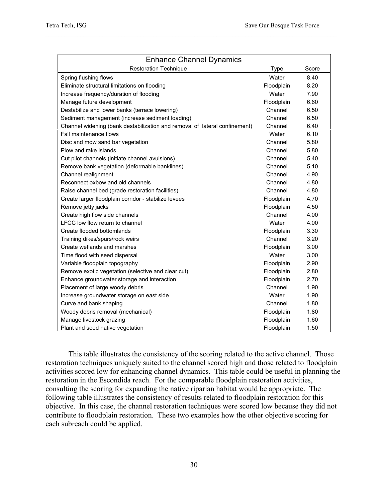| <b>Enhance Channel Dynamics</b>                                            |             |       |  |
|----------------------------------------------------------------------------|-------------|-------|--|
| <b>Restoration Technique</b>                                               | <b>Type</b> | Score |  |
| Spring flushing flows                                                      | Water       | 8.40  |  |
| Eliminate structural limitations on flooding                               | Floodplain  | 8.20  |  |
| Increase frequency/duration of flooding                                    | Water       | 7.90  |  |
| Manage future development                                                  | Floodplain  | 6.60  |  |
| Destabilize and lower banks (terrace lowering)                             | Channel     | 6.50  |  |
| Sediment management (increase sediment loading)                            | Channel     | 6.50  |  |
| Channel widening (bank destabilization and removal of lateral confinement) | Channel     | 6.40  |  |
| Fall maintenance flows                                                     | Water       | 6.10  |  |
| Disc and mow sand bar vegetation                                           | Channel     | 5.80  |  |
| Plow and rake islands                                                      | Channel     | 5.80  |  |
| Cut pilot channels (initiate channel avulsions)                            | Channel     | 5.40  |  |
| Remove bank vegetation (deformable banklines)                              | Channel     | 5.10  |  |
| Channel realignment                                                        | Channel     | 4.90  |  |
| Reconnect oxbow and old channels                                           | Channel     | 4.80  |  |
| Raise channel bed (grade restoration facilities)                           | Channel     | 4.80  |  |
| Create larger floodplain corridor - stabilize levees                       | Floodplain  | 4.70  |  |
| Remove jetty jacks                                                         | Floodplain  | 4.50  |  |
| Create high flow side channels                                             | Channel     | 4.00  |  |
| LFCC low flow return to channel                                            | Water       | 4.00  |  |
| Create flooded bottomlands                                                 | Floodplain  | 3.30  |  |
| Training dikes/spurs/rock weirs                                            | Channel     | 3.20  |  |
| Create wetlands and marshes                                                | Floodplain  | 3.00  |  |
| Time flood with seed dispersal                                             | Water       | 3.00  |  |
| Variable floodplain topography                                             | Floodplain  | 2.90  |  |
| Remove exotic vegetation (selective and clear cut)                         | Floodplain  | 2.80  |  |
| Enhance groundwater storage and interaction                                | Floodplain  | 2.70  |  |
| Placement of large woody debris                                            | Channel     | 1.90  |  |
| Increase groundwater storage on east side                                  | Water       | 1.90  |  |
| Curve and bank shaping                                                     | Channel     | 1.80  |  |
| Woody debris removal (mechanical)                                          | Floodplain  | 1.80  |  |
| Manage livestock grazing                                                   | Floodplain  | 1.60  |  |
| Plant and seed native vegetation                                           | Floodplain  | 1.50  |  |

This table illustrates the consistency of the scoring related to the active channel. Those restoration techniques uniquely suited to the channel scored high and those related to floodplain activities scored low for enhancing channel dynamics. This table could be useful in planning the restoration in the Escondida reach. For the comparable floodplain restoration activities, consulting the scoring for expanding the native riparian habitat would be appropriate. The following table illustrates the consistency of results related to floodplain restoration for this objective. In this case, the channel restoration techniques were scored low because they did not contribute to floodplain restoration. These two examples how the other objective scoring for each subreach could be applied.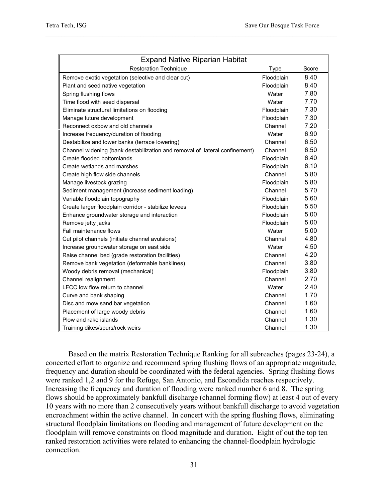| <b>Expand Native Riparian Habitat</b>                                      |            |       |  |
|----------------------------------------------------------------------------|------------|-------|--|
| <b>Restoration Technique</b>                                               | Type       | Score |  |
| Remove exotic vegetation (selective and clear cut)                         | Floodplain | 8.40  |  |
| Plant and seed native vegetation                                           | Floodplain | 8.40  |  |
| Spring flushing flows                                                      | Water      | 7.80  |  |
| Time flood with seed dispersal                                             | Water      | 7.70  |  |
| Eliminate structural limitations on flooding                               | Floodplain | 7.30  |  |
| Manage future development                                                  | Floodplain | 7.30  |  |
| Reconnect oxbow and old channels                                           | Channel    | 7.20  |  |
| Increase frequency/duration of flooding                                    | Water      | 6.90  |  |
| Destabilize and lower banks (terrace lowering)                             | Channel    | 6.50  |  |
| Channel widening (bank destabilization and removal of lateral confinement) | Channel    | 6.50  |  |
| Create flooded bottomlands                                                 | Floodplain | 6.40  |  |
| Create wetlands and marshes                                                | Floodplain | 6.10  |  |
| Create high flow side channels                                             | Channel    | 5.80  |  |
| Manage livestock grazing                                                   | Floodplain | 5.80  |  |
| Sediment management (increase sediment loading)                            | Channel    | 5.70  |  |
| Variable floodplain topography                                             | Floodplain | 5.60  |  |
| Create larger floodplain corridor - stabilize levees                       | Floodplain | 5.50  |  |
| Enhance groundwater storage and interaction                                | Floodplain | 5.00  |  |
| Remove jetty jacks                                                         | Floodplain | 5.00  |  |
| Fall maintenance flows                                                     | Water      | 5.00  |  |
| Cut pilot channels (initiate channel avulsions)                            | Channel    | 4.80  |  |
| Increase groundwater storage on east side                                  | Water      | 4.50  |  |
| Raise channel bed (grade restoration facilities)                           | Channel    | 4.20  |  |
| Remove bank vegetation (deformable banklines)                              | Channel    | 3.80  |  |
| Woody debris removal (mechanical)                                          | Floodplain | 3.80  |  |
| Channel realignment                                                        | Channel    | 2.70  |  |
| LFCC low flow return to channel                                            | Water      | 2.40  |  |
| Curve and bank shaping                                                     | Channel    | 1.70  |  |
| Disc and mow sand bar vegetation                                           | Channel    | 1.60  |  |
| Placement of large woody debris                                            | Channel    | 1.60  |  |
| Plow and rake islands                                                      | Channel    | 1.30  |  |
| Training dikes/spurs/rock weirs                                            | Channel    | 1.30  |  |

Based on the matrix Restoration Technique Ranking for all subreaches (pages 23-24), a concerted effort to organize and recommend spring flushing flows of an appropriate magnitude, frequency and duration should be coordinated with the federal agencies. Spring flushing flows were ranked 1,2 and 9 for the Refuge, San Antonio, and Escondida reaches respectively. Increasing the frequency and duration of flooding were ranked number 6 and 8. The spring flows should be approximately bankfull discharge (channel forming flow) at least 4 out of every 10 years with no more than 2 consecutively years without bankfull discharge to avoid vegetation encroachment within the active channel. In concert with the spring flushing flows, eliminating structural floodplain limitations on flooding and management of future development on the floodplain will remove constraints on flood magnitude and duration. Eight of out the top ten ranked restoration activities were related to enhancing the channel-floodplain hydrologic connection.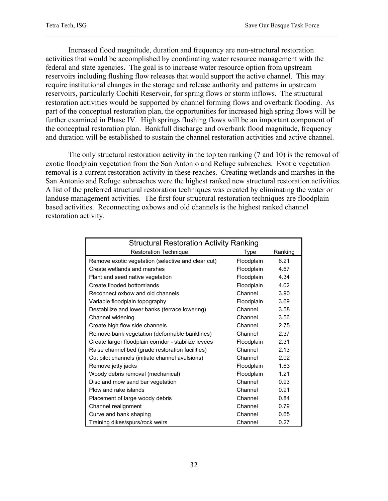Increased flood magnitude, duration and frequency are non-structural restoration activities that would be accomplished by coordinating water resource management with the federal and state agencies. The goal is to increase water resource option from upstream reservoirs including flushing flow releases that would support the active channel. This may require institutional changes in the storage and release authority and patterns in upstream reservoirs, particularly Cochiti Reservoir, for spring flows or storm inflows. The structural restoration activities would be supported by channel forming flows and overbank flooding. As part of the conceptual restoration plan, the opportunities for increased high spring flows will be further examined in Phase IV. High springs flushing flows will be an important component of the conceptual restoration plan. Bankfull discharge and overbank flood magnitude, frequency and duration will be established to sustain the channel restoration activities and active channel.

 The only structural restoration activity in the top ten ranking (7 and 10) is the removal of exotic floodplain vegetation from the San Antonio and Refuge subreaches. Exotic vegetation removal is a current restoration activity in these reaches. Creating wetlands and marshes in the San Antonio and Refuge subreaches were the highest ranked new structural restoration activities. A list of the preferred structural restoration techniques was created by eliminating the water or landuse management activities. The first four structural restoration techniques are floodplain based activities. Reconnecting oxbows and old channels is the highest ranked channel restoration activity.

| <b>Structural Restoration Activity Ranking</b>       |            |         |  |
|------------------------------------------------------|------------|---------|--|
| <b>Restoration Technique</b>                         | Type       | Ranking |  |
| Remove exotic vegetation (selective and clear cut)   | Floodplain | 6.21    |  |
| Create wetlands and marshes                          | Floodplain | 4.67    |  |
| Plant and seed native vegetation                     | Floodplain | 4.34    |  |
| Create flooded bottomlands                           | Floodplain | 4.02    |  |
| Reconnect oxbow and old channels                     | Channel    | 3.90    |  |
| Variable floodplain topography                       | Floodplain | 3.69    |  |
| Destabilize and lower banks (terrace lowering)       | Channel    | 3.58    |  |
| Channel widening                                     | Channel    | 3.56    |  |
| Create high flow side channels                       | Channel    | 2.75    |  |
| Remove bank vegetation (deformable banklines)        | Channel    | 2.37    |  |
| Create larger floodplain corridor - stabilize levees | Floodplain | 2.31    |  |
| Raise channel bed (grade restoration facilities)     | Channel    | 2.13    |  |
| Cut pilot channels (initiate channel avulsions)      | Channel    | 2.02    |  |
| Remove jetty jacks                                   | Floodplain | 1.63    |  |
| Woody debris removal (mechanical)                    | Floodplain | 1.21    |  |
| Disc and mow sand bar vegetation                     | Channel    | 0.93    |  |
| Plow and rake islands                                | Channel    | 0.91    |  |
| Placement of large woody debris                      | Channel    | 0.84    |  |
| Channel realignment                                  | Channel    | 0.79    |  |
| Curve and bank shaping                               | Channel    | 0.65    |  |
| Training dikes/spurs/rock weirs                      | Channel    | 0.27    |  |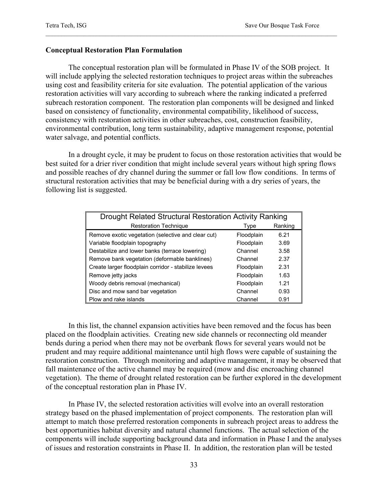#### **Conceptual Restoration Plan Formulation**

The conceptual restoration plan will be formulated in Phase IV of the SOB project. It will include applying the selected restoration techniques to project areas within the subreaches using cost and feasibility criteria for site evaluation. The potential application of the various restoration activities will vary according to subreach where the ranking indicated a preferred subreach restoration component. The restoration plan components will be designed and linked based on consistency of functionality, environmental compatibility, likelihood of success, consistency with restoration activities in other subreaches, cost, construction feasibility, environmental contribution, long term sustainability, adaptive management response, potential water salvage, and potential conflicts.

 In a drought cycle, it may be prudent to focus on those restoration activities that would be best suited for a drier river condition that might include several years without high spring flows and possible reaches of dry channel during the summer or fall low flow conditions. In terms of structural restoration activities that may be beneficial during with a dry series of years, the following list is suggested.

| Drought Related Structural Restoration Activity Ranking |            |         |  |
|---------------------------------------------------------|------------|---------|--|
| <b>Restoration Technique</b>                            | Type       | Ranking |  |
| Remove exotic vegetation (selective and clear cut)      | Floodplain | 6.21    |  |
| Variable floodplain topography                          | Floodplain | 3.69    |  |
| Destabilize and lower banks (terrace lowering)          | Channel    | 3.58    |  |
| Remove bank vegetation (deformable banklines)           | Channel    | 2.37    |  |
| Create larger floodplain corridor - stabilize levees    | Floodplain | 2.31    |  |
| Remove jetty jacks                                      | Floodplain | 1.63    |  |
| Woody debris removal (mechanical)                       | Floodplain | 1.21    |  |
| Disc and mow sand bar vegetation                        | Channel    | 0.93    |  |
| Plow and rake islands                                   | Channel    | 0.91    |  |

 In this list, the channel expansion activities have been removed and the focus has been placed on the floodplain activities. Creating new side channels or reconnecting old meander bends during a period when there may not be overbank flows for several years would not be prudent and may require additional maintenance until high flows were capable of sustaining the restoration construction. Through monitoring and adaptive management, it may be observed that fall maintenance of the active channel may be required (mow and disc encroaching channel vegetation). The theme of drought related restoration can be further explored in the development of the conceptual restoration plan in Phase IV.

In Phase IV, the selected restoration activities will evolve into an overall restoration strategy based on the phased implementation of project components. The restoration plan will attempt to match those preferred restoration components in subreach project areas to address the best opportunities habitat diversity and natural channel functions. The actual selection of the components will include supporting background data and information in Phase I and the analyses of issues and restoration constraints in Phase II. In addition, the restoration plan will be tested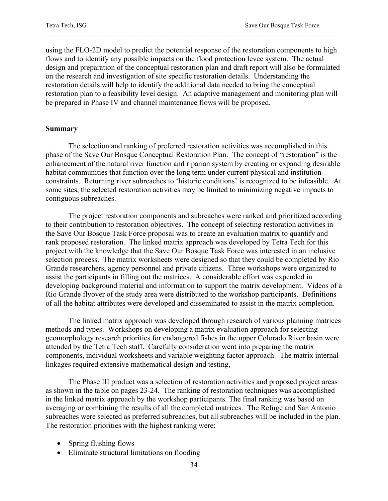using the FLO-2D model to predict the potential response of the restoration components to high flows and to identify any possible impacts on the flood protection levee system. The actual design and preparation of the conceptual restoration plan and draft report will also be formulated on the research and investigation of site specific restoration details. Understanding the restoration details will help to identify the additional data needed to bring the conceptual restoration plan to a feasibility level design. An adaptive management and monitoring plan will be prepared in Phase IV and channel maintenance flows will be proposed.

#### **Summary**

 The selection and ranking of preferred restoration activities was accomplished in this phase of the Save Our Bosque Conceptual Restoration Plan. The concept of "restoration" is the enhancement of the natural river function and riparian system by creating or expanding desirable habitat communities that function over the long term under current physical and institution constraints. Returning river subreaches to 'historic conditions' is recognized to be infeasible. At some sites, the selected restoration activities may be limited to minimizing negative impacts to contiguous subreaches.

 The project restoration components and subreaches were ranked and prioritized according to their contribution to restoration objectives. The concept of selecting restoration activities in the Save Our Bosque Task Force proposal was to create an evaluation matrix to quantify and rank proposed restoration. The linked matrix approach was developed by Tetra Tech for this project with the knowledge that the Save Our Bosque Task Force was interested in an inclusive selection process. The matrix worksheets were designed so that they could be completed by Rio Grande researchers, agency personnel and private citizens. Three workshops were organized to assist the participants in filling out the matrices. A considerable effort was expended in developing background material and information to support the matrix development. Videos of a Rio Grande flyover of the study area were distributed to the workshop participants. Definitions of all the habitat attributes were developed and disseminated to assist in the matrix completion.

The linked matrix approach was developed through research of various planning matrices methods and types. Workshops on developing a matrix evaluation approach for selecting geomorphology research priorities for endangered fishes in the upper Colorado River basin were attended by the Tetra Tech staff. Carefully consideration went into preparing the matrix components, individual worksheets and variable weighting factor approach. The matrix internal linkages required extensive mathematical design and testing,

The Phase III product was a selection of restoration activities and proposed project areas as shown in the table on pages 23-24. The ranking of restoration techniques was accomplished in the linked matrix approach by the workshop participants. The final ranking was based on averaging or combining the results of all the completed matrices. The Refuge and San Antonio subreaches were selected as preferred subreaches, but all subreaches will be included in the plan. The restoration priorities with the highest ranking were:

- Spring flushing flows
- Eliminate structural limitations on flooding